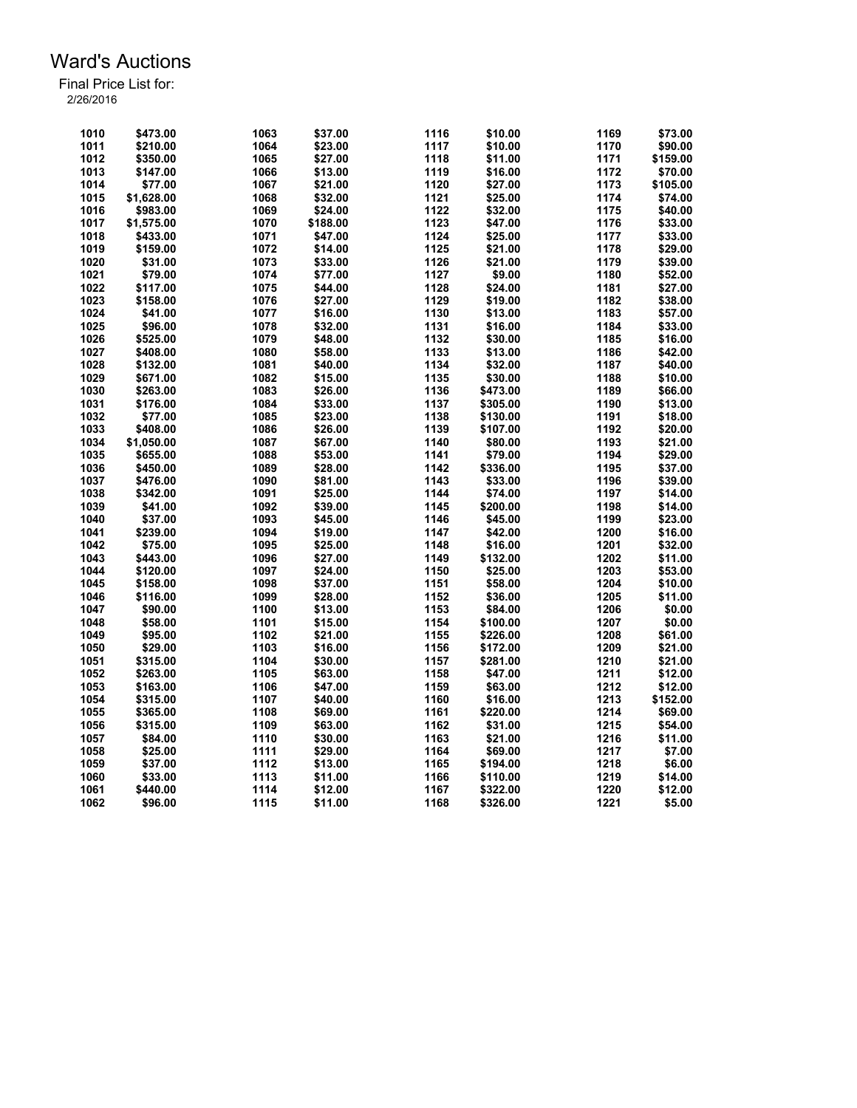| 1010 | \$473.00   | 1063 | \$37.00  | 1116 | \$10.00  | 1169 | \$73.00  |
|------|------------|------|----------|------|----------|------|----------|
| 1011 | \$210.00   | 1064 | \$23.00  | 1117 | \$10.00  | 1170 | \$90.00  |
| 1012 | \$350.00   | 1065 | \$27.00  | 1118 | \$11.00  | 1171 | \$159.00 |
| 1013 | \$147.00   | 1066 | \$13.00  | 1119 | \$16.00  | 1172 | \$70.00  |
| 1014 | \$77.00    | 1067 | \$21.00  | 1120 | \$27.00  | 1173 | \$105.00 |
| 1015 | \$1.628.00 | 1068 | \$32.00  | 1121 | \$25.00  | 1174 | \$74.00  |
| 1016 | \$983.00   | 1069 | \$24.00  | 1122 | \$32.00  | 1175 | \$40.00  |
| 1017 | \$1,575.00 | 1070 | \$188.00 | 1123 | \$47.00  | 1176 | \$33.00  |
| 1018 | \$433.00   | 1071 | \$47.00  | 1124 | \$25.00  | 1177 | \$33.00  |
| 1019 | \$159.00   | 1072 | \$14.00  | 1125 | \$21.00  | 1178 | \$29.00  |
| 1020 | \$31.00    | 1073 | \$33.00  | 1126 | \$21.00  | 1179 | \$39.00  |
| 1021 | \$79.00    | 1074 | \$77.00  | 1127 | \$9.00   | 1180 | \$52.00  |
| 1022 | \$117.00   | 1075 | \$44.00  | 1128 | \$24.00  | 1181 | \$27.00  |
| 1023 | \$158.00   | 1076 | \$27.00  | 1129 | \$19.00  | 1182 | \$38.00  |
| 1024 | \$41.00    | 1077 | \$16.00  | 1130 | \$13.00  | 1183 | \$57.00  |
| 1025 | \$96.00    | 1078 | \$32.00  | 1131 | \$16.00  | 1184 | \$33.00  |
| 1026 | \$525.00   | 1079 | \$48.00  | 1132 | \$30.00  | 1185 | \$16.00  |
| 1027 | \$408.00   | 1080 | \$58.00  | 1133 | \$13.00  | 1186 | \$42.00  |
| 1028 | \$132.00   | 1081 | \$40.00  | 1134 | \$32.00  | 1187 | \$40.00  |
| 1029 | \$671.00   | 1082 | \$15.00  | 1135 | \$30.00  | 1188 | \$10.00  |
| 1030 | \$263.00   | 1083 | \$26.00  | 1136 | \$473.00 | 1189 | \$66.00  |
| 1031 | \$176.00   | 1084 | \$33.00  | 1137 | \$305.00 | 1190 | \$13.00  |
| 1032 | \$77.00    | 1085 | \$23.00  | 1138 | \$130.00 | 1191 | \$18.00  |
| 1033 | \$408.00   | 1086 | \$26.00  | 1139 | \$107.00 | 1192 | \$20.00  |
| 1034 | \$1,050.00 | 1087 | \$67.00  | 1140 | \$80.00  | 1193 | \$21.00  |
| 1035 | \$655.00   | 1088 | \$53.00  | 1141 | \$79.00  | 1194 | \$29.00  |
| 1036 | \$450.00   | 1089 | \$28.00  | 1142 | \$336.00 | 1195 | \$37.00  |
| 1037 | \$476.00   | 1090 | \$81.00  | 1143 | \$33.00  | 1196 | \$39.00  |
| 1038 | \$342.00   | 1091 | \$25.00  | 1144 | \$74.00  | 1197 | \$14.00  |
| 1039 | \$41.00    | 1092 | \$39.00  | 1145 | \$200.00 | 1198 | \$14.00  |
| 1040 | \$37.00    | 1093 | \$45.00  | 1146 | \$45.00  | 1199 | \$23.00  |
| 1041 | \$239.00   | 1094 | \$19.00  | 1147 | \$42.00  | 1200 | \$16.00  |
| 1042 | \$75.00    | 1095 | \$25.00  | 1148 | \$16.00  | 1201 | \$32.00  |
| 1043 | \$443.00   | 1096 | \$27.00  | 1149 | \$132.00 | 1202 | \$11.00  |
| 1044 | \$120.00   | 1097 | \$24.00  | 1150 | \$25.00  | 1203 | \$53.00  |
| 1045 | \$158.00   | 1098 | \$37.00  | 1151 | \$58.00  | 1204 | \$10.00  |
| 1046 | \$116.00   | 1099 | \$28.00  | 1152 | \$36.00  | 1205 | \$11.00  |
| 1047 | \$90.00    | 1100 | \$13.00  | 1153 | \$84.00  | 1206 | \$0.00   |
| 1048 | \$58.00    | 1101 | \$15.00  | 1154 | \$100.00 | 1207 | \$0.00   |
| 1049 | \$95.00    | 1102 | \$21.00  | 1155 | \$226.00 | 1208 | \$61.00  |
| 1050 | \$29.00    | 1103 | \$16.00  | 1156 | \$172.00 | 1209 | \$21.00  |
| 1051 | \$315.00   | 1104 | \$30.00  | 1157 | \$281.00 | 1210 | \$21.00  |
| 1052 | \$263.00   | 1105 | \$63.00  | 1158 | \$47.00  | 1211 | \$12.00  |
| 1053 | \$163.00   | 1106 | \$47.00  | 1159 | \$63.00  | 1212 | \$12.00  |
| 1054 | \$315.00   | 1107 | \$40.00  | 1160 | \$16.00  | 1213 | \$152.00 |
| 1055 | \$365.00   | 1108 | \$69.00  | 1161 | \$220.00 | 1214 | \$69.00  |
| 1056 | \$315.00   | 1109 | \$63.00  | 1162 | \$31.00  | 1215 | \$54.00  |
| 1057 | \$84.00    | 1110 | \$30.00  | 1163 | \$21.00  | 1216 | \$11.00  |
| 1058 | \$25.00    | 1111 | \$29.00  | 1164 | \$69.00  | 1217 | \$7.00   |
| 1059 | \$37.00    | 1112 | \$13.00  | 1165 | \$194.00 | 1218 | \$6.00   |
| 1060 | \$33.00    | 1113 | \$11.00  | 1166 | \$110.00 | 1219 | \$14.00  |
| 1061 | \$440.00   | 1114 | \$12.00  | 1167 | \$322.00 | 1220 | \$12.00  |
| 1062 | \$96.00    | 1115 | \$11.00  | 1168 | \$326.00 | 1221 | \$5.00   |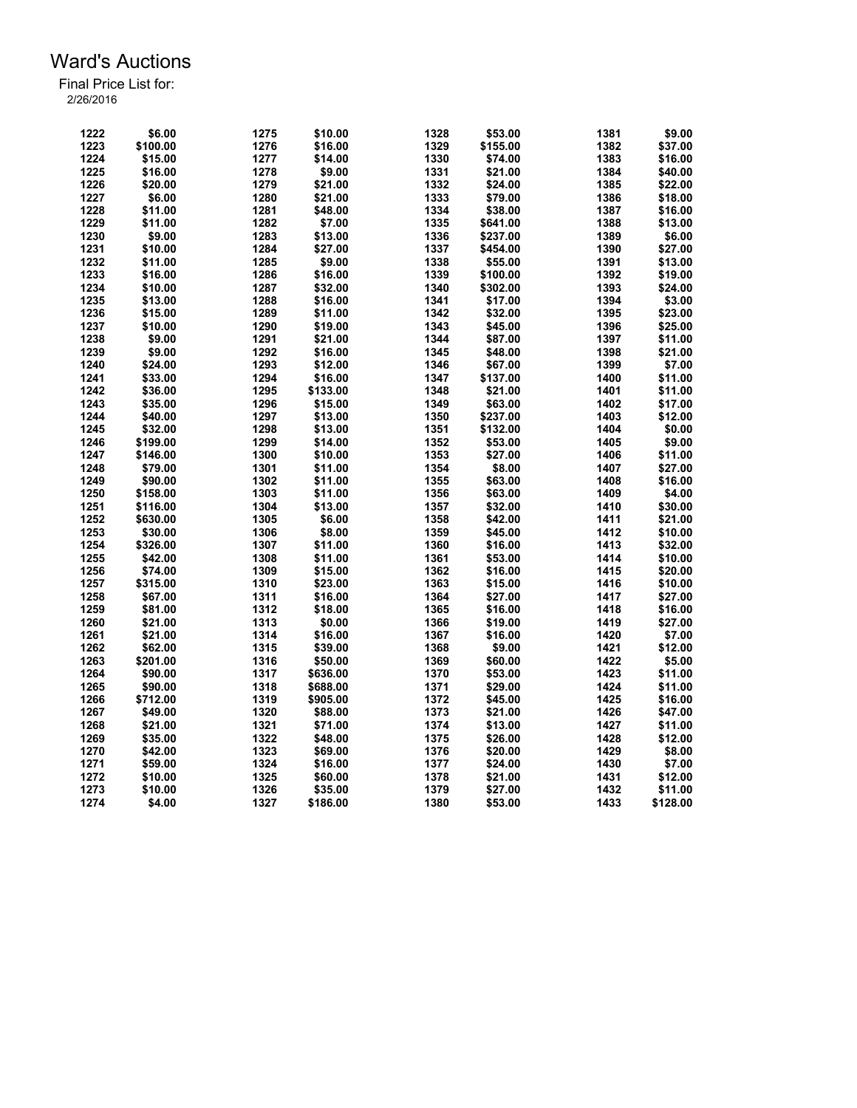| 1222         | \$6.00   | 1275         | \$10.00  | 1328 | \$53.00  | 1381 | \$9.00             |
|--------------|----------|--------------|----------|------|----------|------|--------------------|
| 1223         | \$100.00 | 1276         | \$16.00  | 1329 | \$155.00 | 1382 | \$37.00            |
| 1224         | \$15.00  | 1277         | \$14.00  | 1330 | \$74.00  | 1383 | \$16.00            |
| 1225         | \$16.00  | 1278         | \$9.00   | 1331 | \$21.00  | 1384 | \$40.00            |
| 1226         | \$20.00  | 1279         | \$21.00  | 1332 | \$24.00  | 1385 | \$22.00            |
| 1227         | \$6.00   | 1280         | \$21.00  | 1333 | \$79.00  | 1386 | \$18.00            |
| 1228         | \$11.00  | 1281         | \$48.00  | 1334 | \$38.00  | 1387 | \$16.00            |
| 1229         | \$11.00  | 1282         | \$7.00   | 1335 | \$641.00 | 1388 | \$13.00            |
| 1230         | \$9.00   | 1283         | \$13.00  | 1336 | \$237.00 | 1389 | \$6.00             |
| 1231         | \$10.00  | 1284         | \$27.00  | 1337 | \$454.00 | 1390 | \$27.00            |
| 1232         |          |              |          | 1338 |          | 1391 |                    |
|              | \$11.00  | 1285         | \$9.00   |      | \$55.00  |      | \$13.00            |
| 1233         | \$16.00  | 1286         | \$16.00  | 1339 | \$100.00 | 1392 | \$19.00            |
| 1234         | \$10.00  | 1287         | \$32.00  | 1340 | \$302.00 | 1393 | \$24.00            |
| 1235         | \$13.00  | 1288         | \$16.00  | 1341 | \$17.00  | 1394 | \$3.00             |
| 1236         | \$15.00  | 1289         | \$11.00  | 1342 | \$32.00  | 1395 | \$23.00            |
| 1237         | \$10.00  | 1290         | \$19.00  | 1343 | \$45.00  | 1396 | \$25.00            |
| 1238         | \$9.00   | 1291         | \$21.00  | 1344 | \$87.00  | 1397 | \$11.00            |
| 1239         | \$9.00   | 1292         | \$16.00  | 1345 | \$48.00  | 1398 | \$21.00            |
| 1240         | \$24.00  | 1293         | \$12.00  | 1346 | \$67.00  | 1399 | \$7.00             |
| 1241         | \$33.00  | 1294         | \$16.00  | 1347 | \$137.00 | 1400 | \$11.00            |
| 1242         | \$36.00  | 1295         | \$133.00 | 1348 | \$21.00  | 1401 | \$11.00            |
| 1243         | \$35.00  | 1296         | \$15.00  | 1349 | \$63.00  | 1402 | \$17.00            |
|              |          |              |          |      |          |      |                    |
| 1244         | \$40.00  | 1297         | \$13.00  | 1350 | \$237.00 | 1403 | \$12.00            |
| 1245         | \$32.00  | 1298         | \$13.00  | 1351 | \$132.00 | 1404 | \$0.00             |
| 1246         | \$199.00 | 1299         | \$14.00  | 1352 | \$53.00  | 1405 | \$9.00             |
| 1247         | \$146.00 | 1300         | \$10.00  | 1353 | \$27.00  | 1406 | \$11.00            |
| 1248         | \$79.00  | 1301         | \$11.00  | 1354 | \$8.00   | 1407 | \$27.00            |
| 1249         | \$90.00  | 1302         | \$11.00  | 1355 | \$63.00  | 1408 | \$16.00            |
| 1250         | \$158.00 | 1303         | \$11.00  | 1356 | \$63.00  | 1409 | \$4.00             |
| 1251         | \$116.00 | 1304         | \$13.00  | 1357 | \$32.00  | 1410 | \$30.00            |
| 1252         | \$630.00 | 1305         | \$6.00   | 1358 | \$42.00  | 1411 | \$21.00            |
| 1253         | \$30.00  | 1306         | \$8.00   | 1359 | \$45.00  | 1412 | \$10.00            |
| 1254         | \$326.00 | 1307         | \$11.00  | 1360 | \$16.00  | 1413 | \$32.00            |
|              |          |              |          |      |          |      |                    |
| 1255         | \$42.00  | 1308         | \$11.00  | 1361 | \$53.00  | 1414 | \$10.00            |
| 1256         | \$74.00  | 1309         | \$15.00  | 1362 | \$16.00  | 1415 | \$20.00            |
| 1257         | \$315.00 | 1310         | \$23.00  | 1363 | \$15.00  | 1416 | \$10.00            |
| 1258         | \$67.00  | 1311         | \$16.00  | 1364 | \$27.00  | 1417 | \$27.00            |
| 1259         | \$81.00  | 1312         | \$18.00  | 1365 | \$16.00  | 1418 | \$16.00            |
| 1260         | \$21.00  | 1313         | \$0.00   | 1366 | \$19.00  | 1419 | \$27.00            |
| 1261         | \$21.00  | 1314         | \$16.00  | 1367 | \$16.00  | 1420 | \$7.00             |
| 1262         | \$62.00  | 1315         | \$39.00  | 1368 | \$9.00   | 1421 | \$12.00            |
| 1263         | \$201.00 | 1316         | \$50.00  | 1369 | \$60.00  | 1422 | \$5.00             |
| 1264         | \$90.00  | 1317         | \$636.00 | 1370 | \$53.00  | 1423 | \$11.00            |
| 1265         | \$90.00  | 1318         | \$688.00 | 1371 | \$29.00  | 1424 | \$11.00            |
| 1266         | \$712.00 | 1319         | \$905.00 | 1372 | \$45.00  | 1425 | \$16.00            |
|              | \$49.00  |              | \$88.00  | 1373 |          | 1426 |                    |
| 1267<br>1268 | \$21.00  | 1320<br>1321 |          |      | \$21.00  |      | \$47.00<br>\$11.00 |
|              |          |              | \$71.00  | 1374 | \$13.00  | 1427 |                    |
| 1269         | \$35.00  | 1322         | \$48.00  | 1375 | \$26.00  | 1428 | \$12.00            |
| 1270         | \$42.00  | 1323         | \$69.00  | 1376 | \$20.00  | 1429 | \$8.00             |
| 1271         | \$59.00  | 1324         | \$16.00  | 1377 | \$24.00  | 1430 | \$7.00             |
| 1272         | \$10.00  | 1325         | \$60.00  | 1378 | \$21.00  | 1431 | \$12.00            |
| 1273         | \$10.00  | 1326         | \$35.00  | 1379 | \$27.00  | 1432 | \$11.00            |
| 1274         | \$4.00   | 1327         | \$186.00 | 1380 | \$53.00  | 1433 | \$128.00           |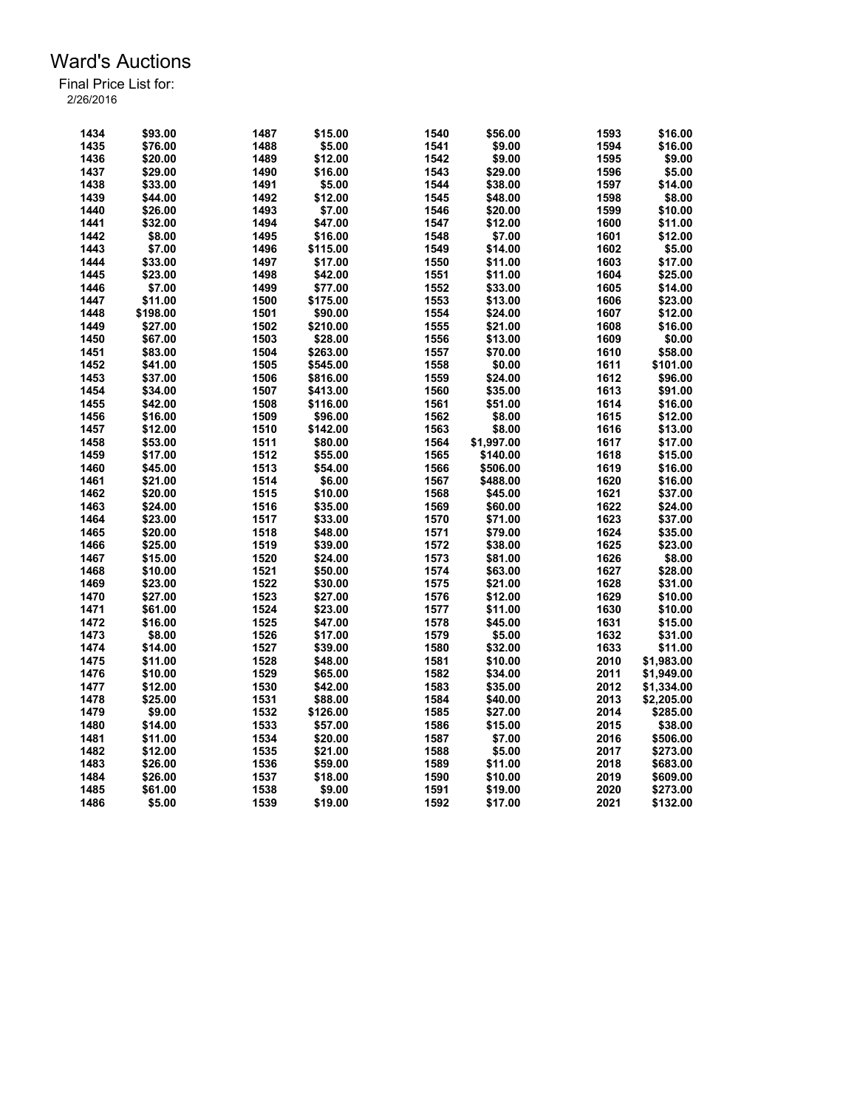| 1434 | \$93.00  | 1487 | \$15.00  | 1540 | \$56.00    | 1593 | \$16.00    |
|------|----------|------|----------|------|------------|------|------------|
| 1435 | \$76.00  | 1488 | \$5.00   | 1541 | \$9.00     | 1594 | \$16.00    |
| 1436 | \$20.00  | 1489 | \$12.00  | 1542 | \$9.00     | 1595 | \$9.00     |
| 1437 | \$29.00  | 1490 | \$16.00  | 1543 | \$29.00    | 1596 | \$5.00     |
| 1438 | \$33.00  | 1491 | \$5.00   | 1544 | \$38.00    | 1597 | \$14.00    |
| 1439 | \$44.00  | 1492 | \$12.00  | 1545 | \$48.00    | 1598 | \$8.00     |
|      |          |      |          |      |            |      |            |
| 1440 | \$26.00  | 1493 | \$7.00   | 1546 | \$20.00    | 1599 | \$10.00    |
| 1441 | \$32.00  | 1494 | \$47.00  | 1547 | \$12.00    | 1600 | \$11.00    |
| 1442 | \$8.00   | 1495 | \$16.00  | 1548 | \$7.00     | 1601 | \$12.00    |
| 1443 | \$7.00   | 1496 | \$115.00 | 1549 | \$14.00    | 1602 | \$5.00     |
| 1444 | \$33.00  | 1497 | \$17.00  | 1550 | \$11.00    | 1603 | \$17.00    |
| 1445 | \$23.00  | 1498 | \$42.00  | 1551 | \$11.00    | 1604 | \$25.00    |
| 1446 | \$7.00   | 1499 | \$77.00  | 1552 | \$33.00    | 1605 | \$14.00    |
| 1447 | \$11.00  | 1500 | \$175.00 | 1553 | \$13.00    | 1606 | \$23.00    |
| 1448 | \$198.00 | 1501 | \$90.00  | 1554 | \$24.00    | 1607 | \$12.00    |
| 1449 | \$27.00  | 1502 | \$210.00 | 1555 | \$21.00    | 1608 | \$16.00    |
| 1450 | \$67.00  | 1503 | \$28.00  | 1556 | \$13.00    | 1609 | \$0.00     |
| 1451 | \$83.00  | 1504 | \$263.00 | 1557 | \$70.00    | 1610 | \$58.00    |
| 1452 | \$41.00  | 1505 | \$545.00 | 1558 | \$0.00     | 1611 | \$101.00   |
| 1453 | \$37.00  | 1506 | \$816.00 | 1559 | \$24.00    | 1612 | \$96.00    |
| 1454 | \$34.00  | 1507 | \$413.00 | 1560 | \$35.00    | 1613 | \$91.00    |
| 1455 | \$42.00  | 1508 | \$116.00 | 1561 | \$51.00    | 1614 | \$16.00    |
| 1456 | \$16.00  | 1509 | \$96.00  | 1562 | \$8.00     | 1615 | \$12.00    |
| 1457 | \$12.00  | 1510 | \$142.00 | 1563 | \$8.00     | 1616 | \$13.00    |
| 1458 | \$53.00  | 1511 | \$80.00  | 1564 | \$1,997.00 | 1617 | \$17.00    |
| 1459 | \$17.00  | 1512 | \$55.00  | 1565 | \$140.00   | 1618 | \$15.00    |
| 1460 | \$45.00  | 1513 | \$54.00  | 1566 | \$506.00   | 1619 | \$16.00    |
| 1461 | \$21.00  | 1514 | \$6.00   | 1567 | \$488.00   | 1620 | \$16.00    |
|      |          |      |          |      |            | 1621 |            |
| 1462 | \$20.00  | 1515 | \$10.00  | 1568 | \$45.00    | 1622 | \$37.00    |
| 1463 | \$24.00  | 1516 | \$35.00  | 1569 | \$60.00    |      | \$24.00    |
| 1464 | \$23.00  | 1517 | \$33.00  | 1570 | \$71.00    | 1623 | \$37.00    |
| 1465 | \$20.00  | 1518 | \$48.00  | 1571 | \$79.00    | 1624 | \$35.00    |
| 1466 | \$25.00  | 1519 | \$39.00  | 1572 | \$38.00    | 1625 | \$23.00    |
| 1467 | \$15.00  | 1520 | \$24.00  | 1573 | \$81.00    | 1626 | \$8.00     |
| 1468 | \$10.00  | 1521 | \$50.00  | 1574 | \$63.00    | 1627 | \$28.00    |
| 1469 | \$23.00  | 1522 | \$30.00  | 1575 | \$21.00    | 1628 | \$31.00    |
| 1470 | \$27.00  | 1523 | \$27.00  | 1576 | \$12.00    | 1629 | \$10.00    |
| 1471 | \$61.00  | 1524 | \$23.00  | 1577 | \$11.00    | 1630 | \$10.00    |
| 1472 | \$16.00  | 1525 | \$47.00  | 1578 | \$45.00    | 1631 | \$15.00    |
| 1473 | \$8.00   | 1526 | \$17.00  | 1579 | \$5.00     | 1632 | \$31.00    |
| 1474 | \$14.00  | 1527 | \$39.00  | 1580 | \$32.00    | 1633 | \$11.00    |
| 1475 | \$11.00  | 1528 | \$48.00  | 1581 | \$10.00    | 2010 | \$1,983.00 |
| 1476 | \$10.00  | 1529 | \$65.00  | 1582 | \$34.00    | 2011 | \$1,949.00 |
| 1477 | \$12.00  | 1530 | \$42.00  | 1583 | \$35.00    | 2012 | \$1,334.00 |
| 1478 | \$25.00  | 1531 | \$88.00  | 1584 | \$40.00    | 2013 | \$2,205.00 |
| 1479 | \$9.00   | 1532 | \$126.00 | 1585 | \$27.00    | 2014 | \$285.00   |
| 1480 | \$14.00  | 1533 | \$57.00  | 1586 | \$15.00    | 2015 | \$38.00    |
| 1481 | \$11.00  | 1534 | \$20.00  | 1587 | \$7.00     | 2016 | \$506.00   |
| 1482 | \$12.00  | 1535 | \$21.00  | 1588 | \$5.00     | 2017 | \$273.00   |
| 1483 | \$26.00  | 1536 | \$59.00  | 1589 | \$11.00    | 2018 | \$683.00   |
| 1484 | \$26.00  | 1537 | \$18.00  | 1590 | \$10.00    | 2019 | \$609.00   |
| 1485 | \$61.00  | 1538 | \$9.00   | 1591 | \$19.00    | 2020 | \$273.00   |
| 1486 |          | 1539 |          | 1592 |            | 2021 |            |
|      | \$5.00   |      | \$19.00  |      | \$17.00    |      | \$132.00   |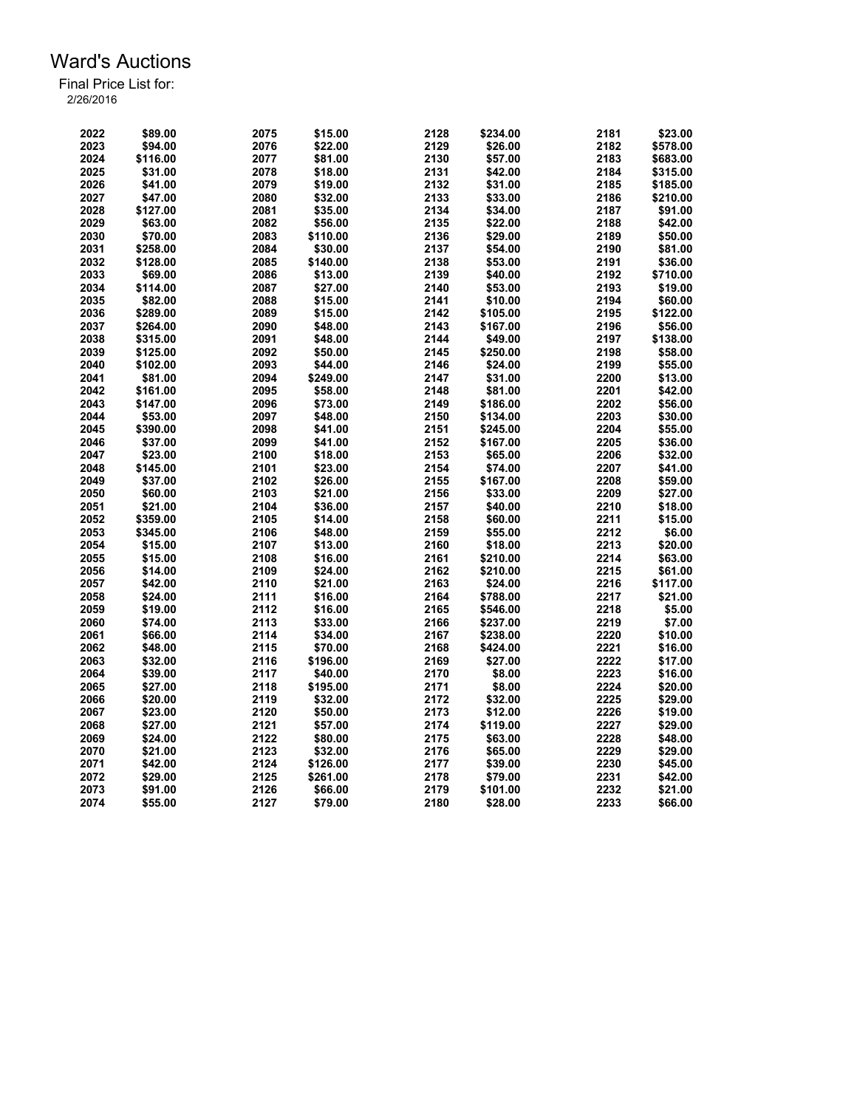| 2022 | \$89.00  | 2075 | \$15.00  | 2128 | \$234.00 | 2181 | \$23.00  |
|------|----------|------|----------|------|----------|------|----------|
| 2023 | \$94.00  | 2076 | \$22.00  | 2129 | \$26.00  | 2182 | \$578.00 |
| 2024 | \$116.00 | 2077 | \$81.00  | 2130 | \$57.00  | 2183 | \$683.00 |
| 2025 | \$31.00  | 2078 | \$18.00  | 2131 | \$42.00  | 2184 | \$315.00 |
| 2026 | \$41.00  | 2079 | \$19.00  | 2132 | \$31.00  | 2185 | \$185.00 |
| 2027 | \$47.00  | 2080 | \$32.00  | 2133 | \$33.00  | 2186 | \$210.00 |
| 2028 | \$127.00 | 2081 | \$35.00  | 2134 | \$34.00  | 2187 | \$91.00  |
| 2029 | \$63.00  | 2082 | \$56.00  | 2135 | \$22.00  | 2188 | \$42.00  |
| 2030 | \$70.00  | 2083 | \$110.00 | 2136 | \$29.00  | 2189 | \$50.00  |
| 2031 | \$258.00 | 2084 | \$30.00  | 2137 | \$54.00  | 2190 | \$81.00  |
| 2032 | \$128.00 | 2085 | \$140.00 | 2138 | \$53.00  | 2191 | \$36.00  |
| 2033 | \$69.00  | 2086 | \$13.00  | 2139 | \$40.00  | 2192 | \$710.00 |
| 2034 | \$114.00 | 2087 | \$27.00  | 2140 | \$53.00  | 2193 | \$19.00  |
| 2035 | \$82.00  | 2088 | \$15.00  | 2141 | \$10.00  | 2194 | \$60.00  |
| 2036 | \$289.00 | 2089 | \$15.00  | 2142 | \$105.00 | 2195 | \$122.00 |
| 2037 | \$264.00 | 2090 | \$48.00  | 2143 | \$167.00 | 2196 | \$56.00  |
| 2038 | \$315.00 | 2091 | \$48.00  | 2144 | \$49.00  | 2197 | \$138.00 |
| 2039 | \$125.00 | 2092 | \$50.00  | 2145 | \$250.00 | 2198 | \$58.00  |
| 2040 | \$102.00 | 2093 | \$44.00  | 2146 | \$24.00  | 2199 | \$55.00  |
| 2041 | \$81.00  | 2094 | \$249.00 | 2147 | \$31.00  | 2200 | \$13.00  |
| 2042 | \$161.00 | 2095 | \$58.00  | 2148 | \$81.00  | 2201 | \$42.00  |
| 2043 | \$147.00 | 2096 | \$73.00  | 2149 | \$186.00 | 2202 | \$56.00  |
| 2044 | \$53.00  | 2097 | \$48.00  | 2150 | \$134.00 | 2203 | \$30.00  |
| 2045 | \$390.00 | 2098 | \$41.00  | 2151 | \$245.00 | 2204 | \$55.00  |
| 2046 | \$37.00  | 2099 | \$41.00  | 2152 | \$167.00 | 2205 | \$36.00  |
| 2047 |          | 2100 |          | 2153 |          | 2206 | \$32.00  |
|      | \$23.00  |      | \$18.00  |      | \$65.00  |      |          |
| 2048 | \$145.00 | 2101 | \$23.00  | 2154 | \$74.00  | 2207 | \$41.00  |
| 2049 | \$37.00  | 2102 | \$26.00  | 2155 | \$167.00 | 2208 | \$59.00  |
| 2050 | \$60.00  | 2103 | \$21.00  | 2156 | \$33.00  | 2209 | \$27.00  |
| 2051 | \$21.00  | 2104 | \$36.00  | 2157 | \$40.00  | 2210 | \$18.00  |
| 2052 | \$359.00 | 2105 | \$14.00  | 2158 | \$60.00  | 2211 | \$15.00  |
| 2053 | \$345.00 | 2106 | \$48.00  | 2159 | \$55.00  | 2212 | \$6.00   |
| 2054 | \$15.00  | 2107 | \$13.00  | 2160 | \$18.00  | 2213 | \$20.00  |
| 2055 | \$15.00  | 2108 | \$16.00  | 2161 | \$210.00 | 2214 | \$63.00  |
| 2056 | \$14.00  | 2109 | \$24.00  | 2162 | \$210.00 | 2215 | \$61.00  |
| 2057 | \$42.00  | 2110 | \$21.00  | 2163 | \$24.00  | 2216 | \$117.00 |
| 2058 | \$24.00  | 2111 | \$16.00  | 2164 | \$788.00 | 2217 | \$21.00  |
| 2059 | \$19.00  | 2112 | \$16.00  | 2165 | \$546.00 | 2218 | \$5.00   |
| 2060 | \$74.00  | 2113 | \$33.00  | 2166 | \$237.00 | 2219 | \$7.00   |
| 2061 | \$66.00  | 2114 | \$34.00  | 2167 | \$238.00 | 2220 | \$10.00  |
| 2062 | \$48.00  | 2115 | \$70.00  | 2168 | \$424.00 | 2221 | \$16.00  |
| 2063 | \$32.00  | 2116 | \$196.00 | 2169 | \$27.00  | 2222 | \$17.00  |
| 2064 | \$39.00  | 2117 | \$40.00  | 2170 | \$8.00   | 2223 | \$16.00  |
| 2065 | \$27.00  | 2118 | \$195.00 | 2171 | \$8.00   | 2224 | \$20.00  |
| 2066 | \$20.00  | 2119 | \$32.00  | 2172 | \$32.00  | 2225 | \$29.00  |
| 2067 | \$23.00  | 2120 | \$50.00  | 2173 | \$12.00  | 2226 | \$19.00  |
| 2068 | \$27.00  | 2121 | \$57.00  | 2174 | \$119.00 | 2227 | \$29.00  |
| 2069 | \$24.00  | 2122 | \$80.00  | 2175 | \$63.00  | 2228 | \$48.00  |
| 2070 | \$21.00  | 2123 | \$32.00  | 2176 | \$65.00  | 2229 | \$29.00  |
| 2071 | \$42.00  | 2124 | \$126.00 | 2177 | \$39.00  | 2230 | \$45.00  |
| 2072 | \$29.00  | 2125 | \$261.00 | 2178 | \$79.00  | 2231 | \$42.00  |
| 2073 | \$91.00  | 2126 | \$66.00  | 2179 | \$101.00 | 2232 | \$21.00  |
| 2074 | \$55.00  | 2127 | \$79.00  | 2180 | \$28.00  | 2233 | \$66.00  |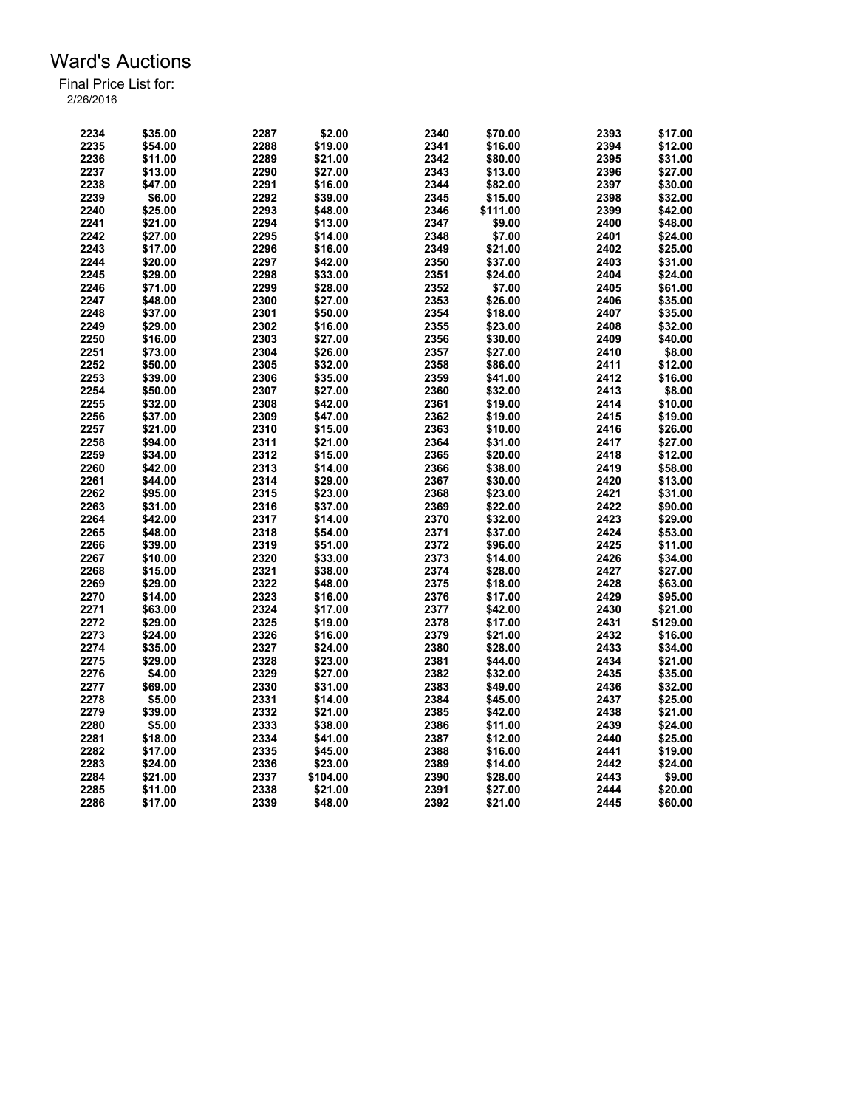| 2234 | \$35.00 | 2287 | \$2.00   | 2340 | \$70.00  | 2393 | \$17.00  |
|------|---------|------|----------|------|----------|------|----------|
| 2235 | \$54.00 | 2288 | \$19.00  | 2341 | \$16.00  | 2394 | \$12.00  |
| 2236 | \$11.00 | 2289 | \$21.00  | 2342 | \$80.00  | 2395 | \$31.00  |
| 2237 | \$13.00 | 2290 | \$27.00  | 2343 | \$13.00  | 2396 | \$27.00  |
| 2238 | \$47.00 | 2291 | \$16.00  | 2344 | \$82.00  | 2397 | \$30.00  |
| 2239 | \$6.00  | 2292 | \$39.00  | 2345 | \$15.00  | 2398 | \$32.00  |
| 2240 | \$25.00 | 2293 | \$48.00  | 2346 | \$111.00 | 2399 | \$42.00  |
| 2241 | \$21.00 | 2294 | \$13.00  | 2347 | \$9.00   | 2400 | \$48.00  |
| 2242 | \$27.00 | 2295 | \$14.00  | 2348 | \$7.00   | 2401 | \$24.00  |
| 2243 | \$17.00 | 2296 | \$16.00  | 2349 | \$21.00  | 2402 | \$25.00  |
| 2244 | \$20.00 | 2297 | \$42.00  | 2350 | \$37.00  | 2403 | \$31.00  |
|      |         | 2298 |          | 2351 |          | 2404 |          |
| 2245 | \$29.00 |      | \$33.00  |      | \$24.00  |      | \$24.00  |
| 2246 | \$71.00 | 2299 | \$28.00  | 2352 | \$7.00   | 2405 | \$61.00  |
| 2247 | \$48.00 | 2300 | \$27.00  | 2353 | \$26.00  | 2406 | \$35.00  |
| 2248 | \$37.00 | 2301 | \$50.00  | 2354 | \$18.00  | 2407 | \$35.00  |
| 2249 | \$29.00 | 2302 | \$16.00  | 2355 | \$23.00  | 2408 | \$32.00  |
| 2250 | \$16.00 | 2303 | \$27.00  | 2356 | \$30.00  | 2409 | \$40.00  |
| 2251 | \$73.00 | 2304 | \$26.00  | 2357 | \$27.00  | 2410 | \$8.00   |
| 2252 | \$50.00 | 2305 | \$32.00  | 2358 | \$86.00  | 2411 | \$12.00  |
| 2253 | \$39.00 | 2306 | \$35.00  | 2359 | \$41.00  | 2412 | \$16.00  |
| 2254 | \$50.00 | 2307 | \$27.00  | 2360 | \$32.00  | 2413 | \$8.00   |
| 2255 | \$32.00 | 2308 | \$42.00  | 2361 | \$19.00  | 2414 | \$10.00  |
| 2256 | \$37.00 | 2309 | \$47.00  | 2362 | \$19.00  | 2415 | \$19.00  |
| 2257 | \$21.00 | 2310 | \$15.00  | 2363 | \$10.00  | 2416 | \$26.00  |
| 2258 | \$94.00 | 2311 | \$21.00  | 2364 | \$31.00  | 2417 | \$27.00  |
| 2259 | \$34.00 | 2312 | \$15.00  | 2365 | \$20.00  | 2418 | \$12.00  |
| 2260 | \$42.00 | 2313 | \$14.00  | 2366 | \$38.00  | 2419 | \$58.00  |
| 2261 | \$44.00 | 2314 | \$29.00  | 2367 | \$30.00  | 2420 | \$13.00  |
| 2262 | \$95.00 | 2315 | \$23.00  | 2368 | \$23.00  | 2421 | \$31.00  |
| 2263 | \$31.00 | 2316 | \$37.00  | 2369 | \$22.00  | 2422 | \$90.00  |
| 2264 | \$42.00 | 2317 | \$14.00  | 2370 | \$32.00  | 2423 | \$29.00  |
| 2265 | \$48.00 | 2318 | \$54.00  | 2371 | \$37.00  | 2424 | \$53.00  |
| 2266 | \$39.00 | 2319 | \$51.00  | 2372 | \$96.00  | 2425 | \$11.00  |
| 2267 | \$10.00 | 2320 | \$33.00  | 2373 | \$14.00  | 2426 | \$34.00  |
| 2268 | \$15.00 | 2321 | \$38.00  |      |          | 2427 | \$27.00  |
|      |         |      |          | 2374 | \$28.00  |      |          |
| 2269 | \$29.00 | 2322 | \$48.00  | 2375 | \$18.00  | 2428 | \$63.00  |
| 2270 | \$14.00 | 2323 | \$16.00  | 2376 | \$17.00  | 2429 | \$95.00  |
| 2271 | \$63.00 | 2324 | \$17.00  | 2377 | \$42.00  | 2430 | \$21.00  |
| 2272 | \$29.00 | 2325 | \$19.00  | 2378 | \$17.00  | 2431 | \$129.00 |
| 2273 | \$24.00 | 2326 | \$16.00  | 2379 | \$21.00  | 2432 | \$16.00  |
| 2274 | \$35.00 | 2327 | \$24.00  | 2380 | \$28.00  | 2433 | \$34.00  |
| 2275 | \$29.00 | 2328 | \$23.00  | 2381 | \$44.00  | 2434 | \$21.00  |
| 2276 | \$4.00  | 2329 | \$27.00  | 2382 | \$32.00  | 2435 | \$35.00  |
| 2277 | \$69.00 | 2330 | \$31.00  | 2383 | \$49.00  | 2436 | \$32.00  |
| 2278 | \$5.00  | 2331 | \$14.00  | 2384 | \$45.00  | 2437 | \$25.00  |
| 2279 | \$39.00 | 2332 | \$21.00  | 2385 | \$42.00  | 2438 | \$21.00  |
| 2280 | \$5.00  | 2333 | \$38.00  | 2386 | \$11.00  | 2439 | \$24.00  |
| 2281 | \$18.00 | 2334 | \$41.00  | 2387 | \$12.00  | 2440 | \$25.00  |
| 2282 | \$17.00 | 2335 | \$45.00  | 2388 | \$16.00  | 2441 | \$19.00  |
| 2283 | \$24.00 | 2336 | \$23.00  | 2389 | \$14.00  | 2442 | \$24.00  |
| 2284 | \$21.00 | 2337 | \$104.00 | 2390 | \$28.00  | 2443 | \$9.00   |
| 2285 | \$11.00 | 2338 | \$21.00  | 2391 | \$27.00  | 2444 | \$20.00  |
| 2286 | \$17.00 | 2339 | \$48.00  | 2392 | \$21.00  | 2445 | \$60.00  |
|      |         |      |          |      |          |      |          |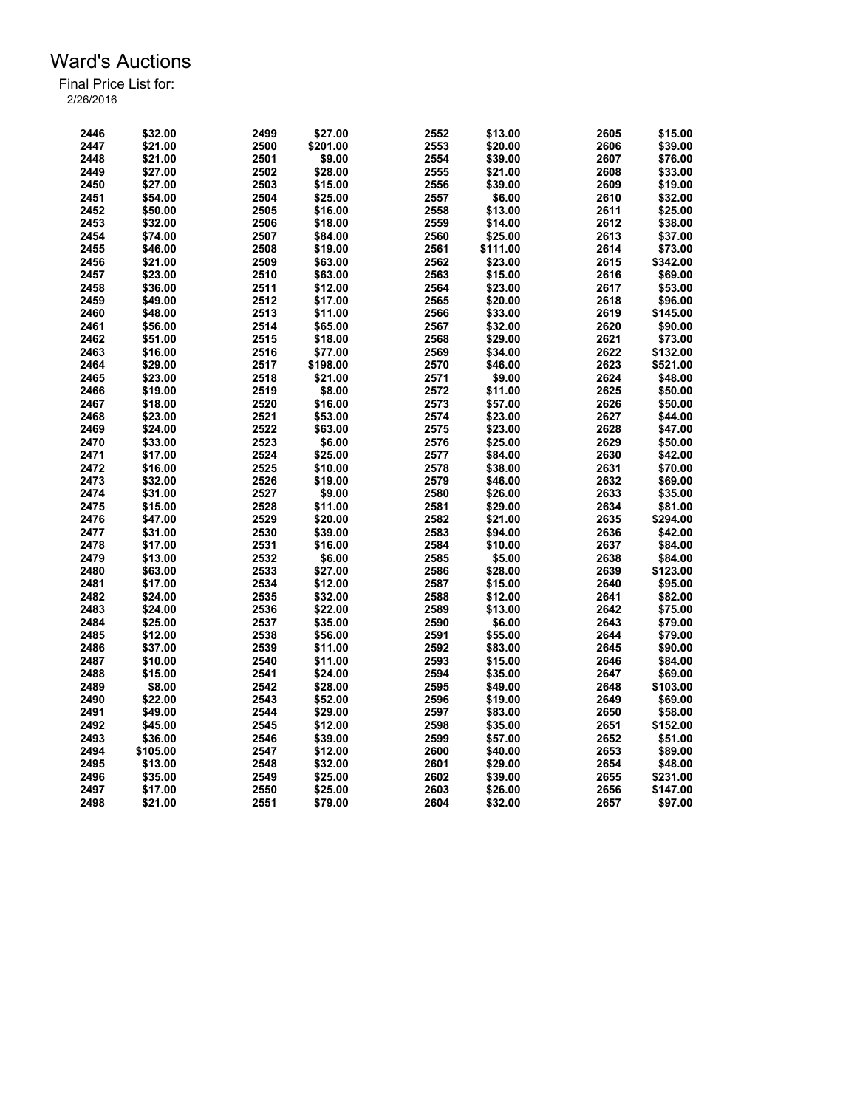| 2446 | \$32.00  | 2499 | \$27.00  | 2552 | \$13.00  | 2605 | \$15.00  |
|------|----------|------|----------|------|----------|------|----------|
| 2447 | \$21.00  | 2500 | \$201.00 | 2553 | \$20.00  | 2606 | \$39.00  |
| 2448 | \$21.00  | 2501 | \$9.00   | 2554 | \$39.00  | 2607 | \$76.00  |
| 2449 | \$27.00  | 2502 | \$28.00  | 2555 | \$21.00  | 2608 | \$33.00  |
| 2450 | \$27.00  | 2503 | \$15.00  | 2556 | \$39.00  | 2609 | \$19.00  |
|      |          |      |          |      |          |      |          |
| 2451 | \$54.00  | 2504 | \$25.00  | 2557 | \$6.00   | 2610 | \$32.00  |
| 2452 | \$50.00  | 2505 | \$16.00  | 2558 | \$13.00  | 2611 | \$25.00  |
| 2453 | \$32.00  | 2506 | \$18.00  | 2559 | \$14.00  | 2612 | \$38.00  |
| 2454 | \$74.00  | 2507 | \$84.00  | 2560 | \$25.00  | 2613 | \$37.00  |
| 2455 | \$46.00  | 2508 | \$19.00  | 2561 | \$111.00 | 2614 | \$73.00  |
| 2456 | \$21.00  | 2509 | \$63.00  | 2562 | \$23.00  | 2615 | \$342.00 |
| 2457 | \$23.00  | 2510 | \$63.00  | 2563 | \$15.00  | 2616 | \$69.00  |
| 2458 | \$36.00  | 2511 | \$12.00  | 2564 | \$23.00  | 2617 | \$53.00  |
| 2459 | \$49.00  | 2512 | \$17.00  | 2565 | \$20.00  | 2618 | \$96.00  |
| 2460 | \$48.00  | 2513 | \$11.00  | 2566 | \$33.00  | 2619 | \$145.00 |
| 2461 | \$56.00  | 2514 | \$65.00  | 2567 | \$32.00  | 2620 | \$90.00  |
| 2462 | \$51.00  | 2515 | \$18.00  | 2568 | \$29.00  | 2621 | \$73.00  |
| 2463 | \$16.00  | 2516 | \$77.00  | 2569 | \$34.00  | 2622 | \$132.00 |
| 2464 | \$29.00  | 2517 | \$198.00 | 2570 | \$46.00  | 2623 | \$521.00 |
| 2465 | \$23.00  | 2518 | \$21.00  | 2571 | \$9.00   | 2624 | \$48.00  |
| 2466 | \$19.00  | 2519 | \$8.00   | 2572 | \$11.00  | 2625 | \$50.00  |
| 2467 | \$18.00  | 2520 | \$16.00  | 2573 | \$57.00  | 2626 | \$50.00  |
| 2468 | \$23.00  | 2521 | \$53.00  | 2574 | \$23.00  | 2627 | \$44.00  |
| 2469 | \$24.00  | 2522 | \$63.00  | 2575 | \$23.00  | 2628 | \$47.00  |
| 2470 | \$33.00  | 2523 | \$6.00   | 2576 | \$25.00  | 2629 | \$50.00  |
| 2471 | \$17.00  | 2524 | \$25.00  | 2577 | \$84.00  | 2630 | \$42.00  |
|      |          |      |          |      |          |      |          |
| 2472 | \$16.00  | 2525 | \$10.00  | 2578 | \$38.00  | 2631 | \$70.00  |
| 2473 | \$32.00  | 2526 | \$19.00  | 2579 | \$46.00  | 2632 | \$69.00  |
| 2474 | \$31.00  | 2527 | \$9.00   | 2580 | \$26.00  | 2633 | \$35.00  |
| 2475 | \$15.00  | 2528 | \$11.00  | 2581 | \$29.00  | 2634 | \$81.00  |
| 2476 | \$47.00  | 2529 | \$20.00  | 2582 | \$21.00  | 2635 | \$294.00 |
| 2477 | \$31.00  | 2530 | \$39.00  | 2583 | \$94.00  | 2636 | \$42.00  |
| 2478 | \$17.00  | 2531 | \$16.00  | 2584 | \$10.00  | 2637 | \$84.00  |
| 2479 | \$13.00  | 2532 | \$6.00   | 2585 | \$5.00   | 2638 | \$84.00  |
| 2480 | \$63.00  | 2533 | \$27.00  | 2586 | \$28.00  | 2639 | \$123.00 |
| 2481 | \$17.00  | 2534 | \$12.00  | 2587 | \$15.00  | 2640 | \$95.00  |
| 2482 | \$24.00  | 2535 | \$32.00  | 2588 | \$12.00  | 2641 | \$82.00  |
| 2483 | \$24.00  | 2536 | \$22.00  | 2589 | \$13.00  | 2642 | \$75.00  |
| 2484 | \$25.00  | 2537 | \$35.00  | 2590 | \$6.00   | 2643 | \$79.00  |
| 2485 | \$12.00  | 2538 | \$56.00  | 2591 | \$55.00  | 2644 | \$79.00  |
| 2486 | \$37.00  | 2539 | \$11.00  | 2592 | \$83.00  | 2645 | \$90.00  |
| 2487 | \$10.00  | 2540 | \$11.00  | 2593 | \$15.00  | 2646 | \$84.00  |
| 2488 | \$15.00  | 2541 | \$24.00  | 2594 | \$35.00  | 2647 | \$69.00  |
| 2489 | \$8.00   | 2542 | \$28.00  | 2595 | \$49.00  | 2648 | \$103.00 |
| 2490 | \$22.00  | 2543 | \$52.00  | 2596 | \$19.00  | 2649 | \$69.00  |
| 2491 | \$49.00  | 2544 | \$29.00  | 2597 | \$83.00  | 2650 | \$58.00  |
| 2492 | \$45.00  | 2545 | \$12.00  | 2598 | \$35.00  | 2651 | \$152.00 |
| 2493 | \$36.00  | 2546 | \$39.00  | 2599 | \$57.00  | 2652 | \$51.00  |
| 2494 | \$105.00 | 2547 | \$12.00  | 2600 | \$40.00  | 2653 | \$89.00  |
| 2495 | \$13.00  | 2548 | \$32.00  | 2601 | \$29.00  | 2654 | \$48.00  |
| 2496 | \$35.00  | 2549 |          | 2602 |          |      | \$231.00 |
|      |          |      | \$25.00  |      | \$39.00  | 2655 |          |
| 2497 | \$17.00  | 2550 | \$25.00  | 2603 | \$26.00  | 2656 | \$147.00 |
| 2498 | \$21.00  | 2551 | \$79.00  | 2604 | \$32.00  | 2657 | \$97.00  |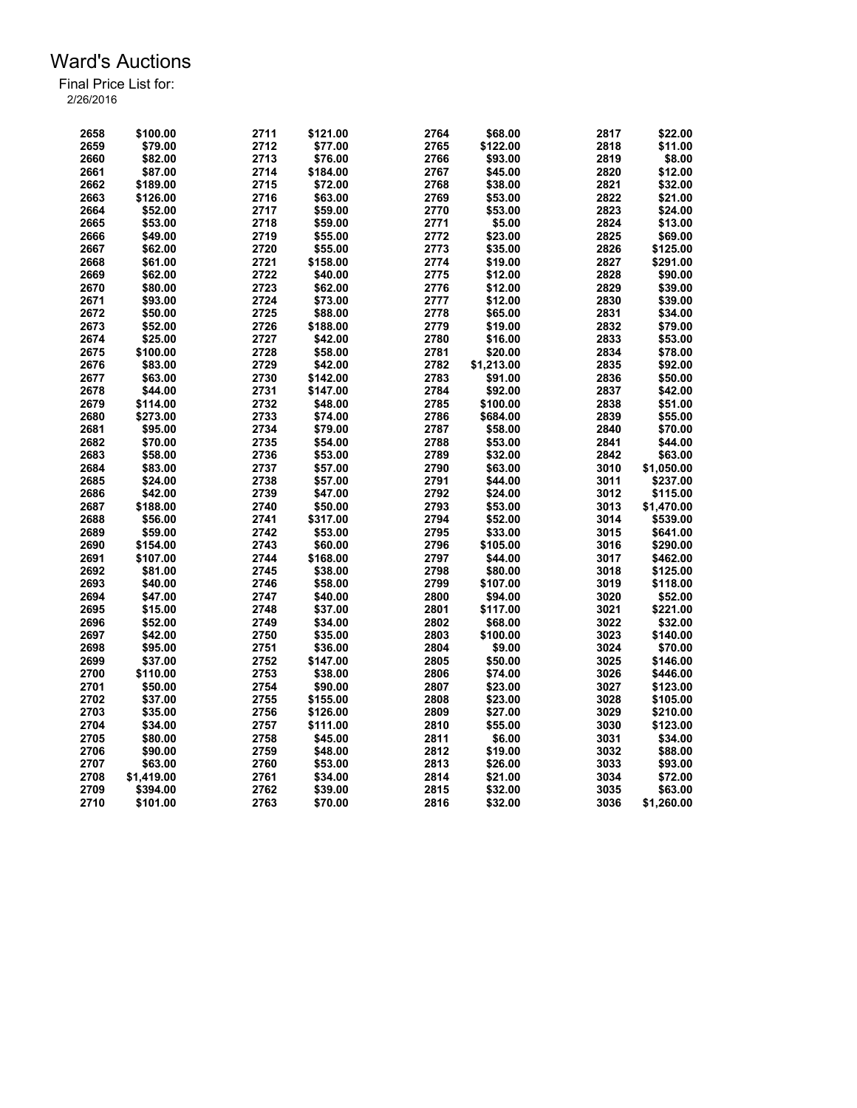| 2658 | \$100.00   | 2711 | \$121.00 | 2764         | \$68.00               | 2817         | \$22.00            |
|------|------------|------|----------|--------------|-----------------------|--------------|--------------------|
| 2659 | \$79.00    | 2712 | \$77.00  | 2765         | \$122.00              | 2818         | \$11.00            |
| 2660 | \$82.00    | 2713 | \$76.00  | 2766         | \$93.00               | 2819         | \$8.00             |
| 2661 | \$87.00    | 2714 | \$184.00 | 2767         | \$45.00               | 2820         | \$12.00            |
| 2662 | \$189.00   | 2715 | \$72.00  | 2768         | \$38.00               | 2821         | \$32.00            |
| 2663 | \$126.00   | 2716 | \$63.00  | 2769         | \$53.00               | 2822         | \$21.00            |
| 2664 | \$52.00    | 2717 | \$59.00  | 2770         | \$53.00               | 2823         | \$24.00            |
| 2665 | \$53.00    | 2718 | \$59.00  | 2771         | \$5.00                | 2824         | \$13.00            |
| 2666 | \$49.00    | 2719 | \$55.00  | 2772         | \$23.00               | 2825         | \$69.00            |
| 2667 | \$62.00    | 2720 | \$55.00  | 2773         | \$35.00               | 2826         | \$125.00           |
| 2668 | \$61.00    | 2721 | \$158.00 | 2774         | \$19.00               | 2827         | \$291.00           |
| 2669 | \$62.00    | 2722 | \$40.00  | 2775         | \$12.00               | 2828         | \$90.00            |
| 2670 | \$80.00    | 2723 | \$62.00  | 2776         | \$12.00               | 2829         | \$39.00            |
| 2671 | \$93.00    | 2724 | \$73.00  | 2777         | \$12.00               | 2830         | \$39.00            |
| 2672 | \$50.00    | 2725 | \$88.00  | 2778         | \$65.00               | 2831         | \$34.00            |
| 2673 | \$52.00    | 2726 | \$188.00 | 2779         | \$19.00               | 2832         | \$79.00            |
| 2674 | \$25.00    | 2727 | \$42.00  | 2780         | \$16.00               | 2833         | \$53.00            |
| 2675 | \$100.00   | 2728 | \$58.00  | 2781         | \$20.00               | 2834         | \$78.00            |
|      | \$83.00    |      |          |              |                       |              |                    |
| 2676 |            | 2729 | \$42.00  | 2782<br>2783 | \$1,213.00<br>\$91.00 | 2835<br>2836 | \$92.00<br>\$50.00 |
| 2677 | \$63.00    | 2730 | \$142.00 |              |                       |              |                    |
| 2678 | \$44.00    | 2731 | \$147.00 | 2784         | \$92.00               | 2837         | \$42.00            |
| 2679 | \$114.00   | 2732 | \$48.00  | 2785         | \$100.00              | 2838         | \$51.00            |
| 2680 | \$273.00   | 2733 | \$74.00  | 2786         | \$684.00              | 2839         | \$55.00            |
| 2681 | \$95.00    | 2734 | \$79.00  | 2787         | \$58.00               | 2840         | \$70.00            |
| 2682 | \$70.00    | 2735 | \$54.00  | 2788         | \$53.00               | 2841         | \$44.00            |
| 2683 | \$58.00    | 2736 | \$53.00  | 2789         | \$32.00               | 2842         | \$63.00            |
| 2684 | \$83.00    | 2737 | \$57.00  | 2790         | \$63.00               | 3010         | \$1,050.00         |
| 2685 | \$24.00    | 2738 | \$57.00  | 2791         | \$44.00               | 3011         | \$237.00           |
| 2686 | \$42.00    | 2739 | \$47.00  | 2792         | \$24.00               | 3012         | \$115.00           |
| 2687 | \$188.00   | 2740 | \$50.00  | 2793         | \$53.00               | 3013         | \$1,470.00         |
| 2688 | \$56.00    | 2741 | \$317.00 | 2794         | \$52.00               | 3014         | \$539.00           |
| 2689 | \$59.00    | 2742 | \$53.00  | 2795         | \$33.00               | 3015         | \$641.00           |
| 2690 | \$154.00   | 2743 | \$60.00  | 2796         | \$105.00              | 3016         | \$290.00           |
| 2691 | \$107.00   | 2744 | \$168.00 | 2797         | \$44.00               | 3017         | \$462.00           |
| 2692 | \$81.00    | 2745 | \$38.00  | 2798         | \$80.00               | 3018         | \$125.00           |
| 2693 | \$40.00    | 2746 | \$58.00  | 2799         | \$107.00              | 3019         | \$118.00           |
| 2694 | \$47.00    | 2747 | \$40.00  | 2800         | \$94.00               | 3020         | \$52.00            |
| 2695 | \$15.00    | 2748 | \$37.00  | 2801         | \$117.00              | 3021         | \$221.00           |
| 2696 | \$52.00    | 2749 | \$34.00  | 2802         | \$68.00               | 3022         | \$32.00            |
| 2697 | \$42.00    | 2750 | \$35.00  | 2803         | \$100.00              | 3023         | \$140.00           |
| 2698 | \$95.00    | 2751 | \$36.00  | 2804         | \$9.00                | 3024         | \$70.00            |
| 2699 | \$37.00    | 2752 | \$147.00 | 2805         | \$50.00               | 3025         | \$146.00           |
| 2700 | \$110.00   | 2753 | \$38.00  | 2806         | \$74.00               | 3026         | \$446.00           |
| 2701 | \$50.00    | 2754 | \$90.00  | 2807         | \$23.00               | 3027         | \$123.00           |
|      |            |      |          | 2808         |                       | 3028         |                    |
| 2702 | \$37.00    | 2755 | \$155.00 |              | \$23.00               |              | \$105.00           |
| 2703 | \$35.00    | 2756 | \$126.00 | 2809         | \$27.00               | 3029         | \$210.00           |
| 2704 | \$34.00    | 2757 | \$111.00 | 2810         | \$55.00               | 3030         | \$123.00           |
| 2705 | \$80.00    | 2758 | \$45.00  | 2811         | \$6.00                | 3031         | \$34.00            |
| 2706 | \$90.00    | 2759 | \$48.00  | 2812         | \$19.00               | 3032         | \$88.00            |
| 2707 | \$63.00    | 2760 | \$53.00  | 2813         | \$26.00               | 3033         | \$93.00            |
| 2708 | \$1,419.00 | 2761 | \$34.00  | 2814         | \$21.00               | 3034         | \$72.00            |
| 2709 | \$394.00   | 2762 | \$39.00  | 2815         | \$32.00               | 3035         | \$63.00            |
| 2710 | \$101.00   | 2763 | \$70.00  | 2816         | \$32.00               | 3036         | \$1,260.00         |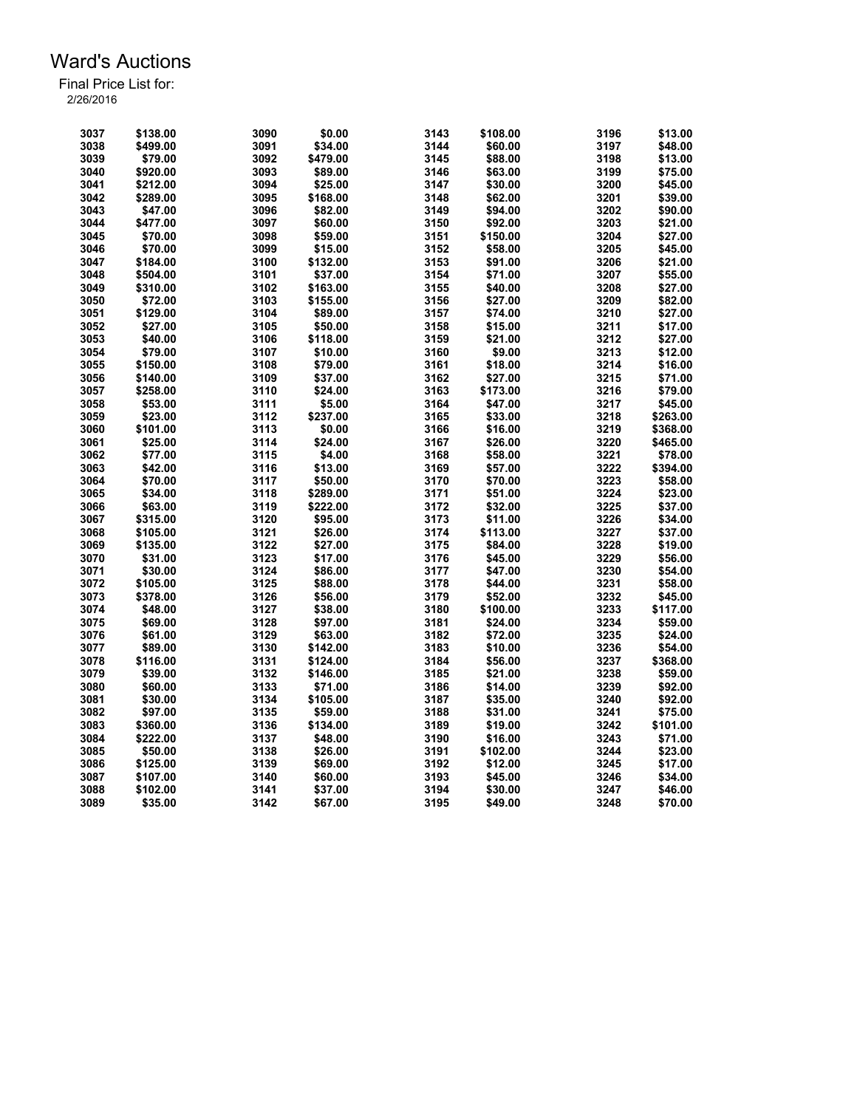| 3037         | \$138.00           | 3090 | \$0.00              | 3143         | \$108.00           | 3196         | \$13.00            |
|--------------|--------------------|------|---------------------|--------------|--------------------|--------------|--------------------|
| 3038         | \$499.00           | 3091 | \$34.00             | 3144         | \$60.00            | 3197         | \$48.00            |
| 3039         | \$79.00            | 3092 | \$479.00            | 3145         | \$88.00            | 3198         | \$13.00            |
| 3040         | \$920.00           | 3093 | \$89.00             | 3146         | \$63.00            | 3199         | \$75.00            |
| 3041         | \$212.00           | 3094 | \$25.00             | 3147         | \$30.00            | 3200         | \$45.00            |
| 3042         | \$289.00           | 3095 | \$168.00            | 3148         | \$62.00            | 3201         | \$39.00            |
| 3043         | \$47.00            | 3096 | \$82.00             | 3149         | \$94.00            | 3202         | \$90.00            |
| 3044         | \$477.00           | 3097 | \$60.00             | 3150         | \$92.00            | 3203         | \$21.00            |
| 3045         | \$70.00            | 3098 | \$59.00             | 3151         | \$150.00           | 3204         | \$27.00            |
| 3046         | \$70.00            | 3099 | \$15.00             | 3152         | \$58.00            | 3205         | \$45.00            |
| 3047         | \$184.00           | 3100 | \$132.00            | 3153         | \$91.00            | 3206         | \$21.00            |
| 3048         | \$504.00           | 3101 | \$37.00             | 3154         | \$71.00            | 3207         | \$55.00            |
| 3049         | \$310.00           | 3102 | \$163.00            | 3155         | \$40.00            | 3208         | \$27.00            |
| 3050         | \$72.00            | 3103 | \$155.00            | 3156         | \$27.00            | 3209         | \$82.00            |
| 3051         | \$129.00           | 3104 | \$89.00             | 3157         | \$74.00            | 3210         | \$27.00            |
|              |                    |      |                     |              |                    |              |                    |
| 3052         | \$27.00            | 3105 | \$50.00             | 3158         | \$15.00            | 3211<br>3212 | \$17.00            |
| 3053         | \$40.00            | 3106 | \$118.00            | 3159         | \$21.00            |              | \$27.00            |
| 3054         | \$79.00            | 3107 | \$10.00             | 3160         | \$9.00             | 3213         | \$12.00            |
| 3055         | \$150.00           | 3108 | \$79.00             | 3161         | \$18.00            | 3214         | \$16.00            |
| 3056         | \$140.00           | 3109 | \$37.00             | 3162         | \$27.00            | 3215         | \$71.00            |
| 3057         | \$258.00           | 3110 | \$24.00             | 3163         | \$173.00           | 3216         | \$79.00            |
| 3058         | \$53.00            | 3111 | \$5.00              | 3164         | \$47.00            | 3217         | \$45.00            |
| 3059         | \$23.00            | 3112 | \$237.00            | 3165         | \$33.00            | 3218         | \$263.00           |
| 3060         | \$101.00           | 3113 | \$0.00              | 3166         | \$16.00            | 3219         | \$368.00           |
| 3061         | \$25.00            | 3114 | \$24.00             | 3167         | \$26.00            | 3220         | \$465.00           |
| 3062         | \$77.00            | 3115 | \$4.00              | 3168         | \$58.00            | 3221         | \$78.00            |
| 3063         | \$42.00            | 3116 | \$13.00             | 3169         | \$57.00            | 3222         | \$394.00           |
| 3064         | \$70.00            | 3117 | \$50.00             | 3170         | \$70.00            | 3223         | \$58.00            |
| 3065         | \$34.00            | 3118 | \$289.00            | 3171         | \$51.00            | 3224         | \$23.00            |
| 3066         | \$63.00            | 3119 | \$222.00            | 3172         | \$32.00            | 3225         | \$37.00            |
| 3067         | \$315.00           | 3120 | \$95.00             | 3173         | \$11.00            | 3226         | \$34.00            |
| 3068         | \$105.00           | 3121 | \$26.00             | 3174         | \$113.00           | 3227         | \$37.00            |
| 3069         | \$135.00           | 3122 | \$27.00             | 3175         | \$84.00            | 3228         | \$19.00            |
| 3070         | \$31.00            | 3123 | \$17.00             | 3176         | \$45.00            | 3229         | \$56.00            |
| 3071         | \$30.00            | 3124 | \$86.00             | 3177         | \$47.00            | 3230         | \$54.00            |
| 3072         | \$105.00           | 3125 | \$88.00             | 3178         | \$44.00            | 3231         | \$58.00            |
| 3073         | \$378.00           | 3126 | \$56.00             | 3179         | \$52.00            | 3232         | \$45.00            |
| 3074         | \$48.00            | 3127 | \$38.00             | 3180         | \$100.00           | 3233         | \$117.00           |
| 3075         | \$69.00            | 3128 | \$97.00             | 3181         | \$24.00            | 3234         | \$59.00            |
| 3076         | \$61.00            | 3129 | \$63.00             | 3182         | \$72.00            | 3235         | \$24.00            |
| 3077         | \$89.00            | 3130 | \$142.00            | 3183         | \$10.00            | 3236         | \$54.00            |
| 3078         | \$116.00           | 3131 | \$124.00            | 3184         | \$56.00            | 3237         | \$368.00           |
| 3079         | \$39.00            | 3132 | \$146.00            | 3185         | \$21.00            | 3238         | \$59.00            |
|              |                    | 3133 |                     |              |                    | 3239         |                    |
| 3080<br>3081 | \$60.00<br>\$30.00 | 3134 | \$71.00<br>\$105.00 | 3186<br>3187 | \$14.00<br>\$35.00 | 3240         | \$92.00<br>\$92.00 |
|              |                    |      |                     |              |                    |              |                    |
| 3082         | \$97.00            | 3135 | \$59.00             | 3188         | \$31.00            | 3241         | \$75.00            |
| 3083         | \$360.00           | 3136 | \$134.00            | 3189         | \$19.00            | 3242         | \$101.00           |
| 3084         | \$222.00           | 3137 | \$48.00             | 3190         | \$16.00            | 3243         | \$71.00            |
| 3085         | \$50.00            | 3138 | \$26.00             | 3191         | \$102.00           | 3244         | \$23.00            |
| 3086         | \$125.00           | 3139 | \$69.00             | 3192         | \$12.00            | 3245         | \$17.00            |
| 3087         | \$107.00           | 3140 | \$60.00             | 3193         | \$45.00            | 3246         | \$34.00            |
| 3088         | \$102.00           | 3141 | \$37.00             | 3194         | \$30.00            | 3247         | \$46.00            |
| 3089         | \$35.00            | 3142 | \$67.00             | 3195         | \$49.00            | 3248         | \$70.00            |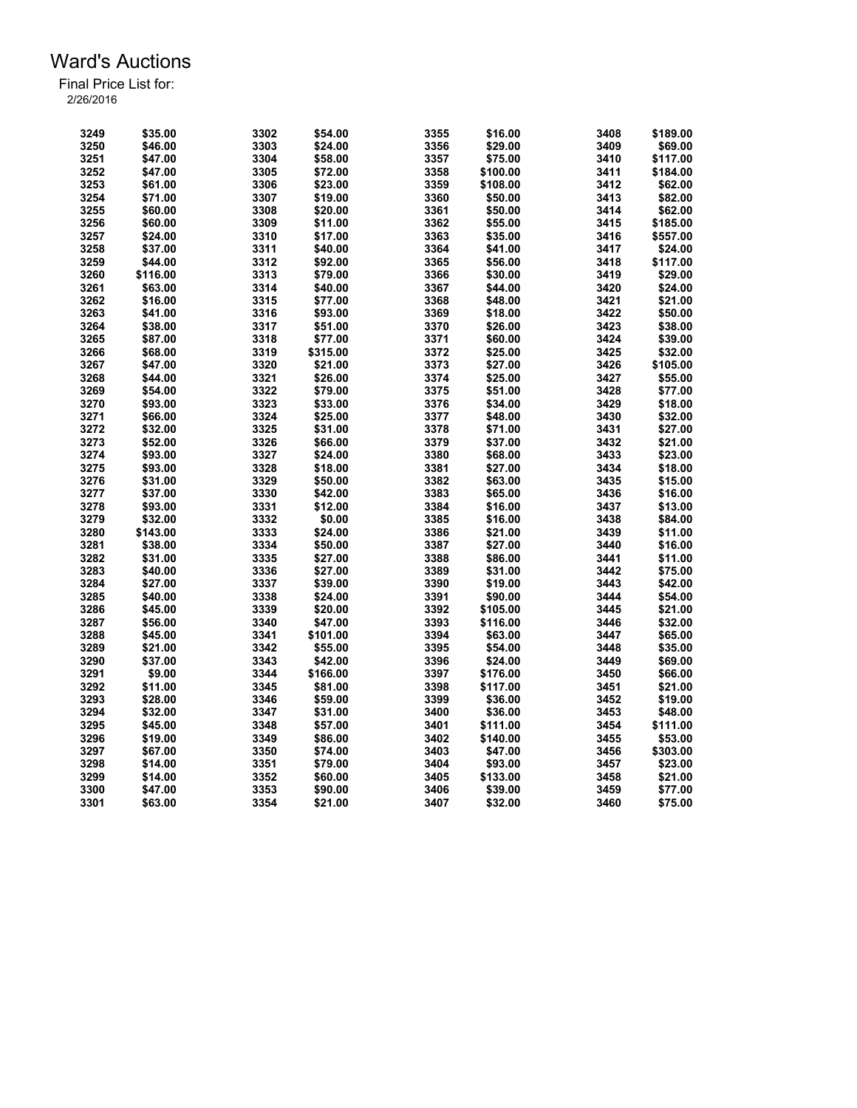| 3249 | \$35.00  | 3302 | \$54.00  | 3355 | \$16.00  | 3408 | \$189.00 |
|------|----------|------|----------|------|----------|------|----------|
| 3250 | \$46.00  | 3303 | \$24.00  | 3356 | \$29.00  | 3409 | \$69.00  |
| 3251 | \$47.00  | 3304 | \$58.00  | 3357 | \$75.00  | 3410 | \$117.00 |
| 3252 | \$47.00  | 3305 | \$72.00  | 3358 | \$100.00 | 3411 | \$184.00 |
| 3253 | \$61.00  | 3306 | \$23.00  | 3359 | \$108.00 | 3412 | \$62.00  |
| 3254 | \$71.00  | 3307 | \$19.00  | 3360 | \$50.00  | 3413 | \$82.00  |
| 3255 | \$60.00  | 3308 | \$20.00  | 3361 | \$50.00  | 3414 | \$62.00  |
| 3256 | \$60.00  | 3309 | \$11.00  | 3362 | \$55.00  | 3415 | \$185.00 |
| 3257 | \$24.00  | 3310 | \$17.00  | 3363 | \$35.00  | 3416 | \$557.00 |
| 3258 | \$37.00  | 3311 | \$40.00  | 3364 | \$41.00  | 3417 | \$24.00  |
| 3259 | \$44.00  | 3312 | \$92.00  | 3365 | \$56.00  | 3418 | \$117.00 |
| 3260 | \$116.00 | 3313 | \$79.00  | 3366 | \$30.00  | 3419 | \$29.00  |
| 3261 | \$63.00  | 3314 | \$40.00  | 3367 | \$44.00  | 3420 | \$24.00  |
| 3262 | \$16.00  | 3315 | \$77.00  | 3368 | \$48.00  | 3421 | \$21.00  |
| 3263 | \$41.00  | 3316 | \$93.00  | 3369 | \$18.00  | 3422 | \$50.00  |
| 3264 | \$38.00  | 3317 | \$51.00  | 3370 | \$26.00  | 3423 | \$38.00  |
| 3265 | \$87.00  | 3318 | \$77.00  | 3371 | \$60.00  | 3424 | \$39.00  |
| 3266 | \$68.00  | 3319 | \$315.00 | 3372 | \$25.00  | 3425 | \$32.00  |
|      | \$47.00  | 3320 |          | 3373 |          | 3426 |          |
| 3267 |          |      | \$21.00  |      | \$27.00  |      | \$105.00 |
| 3268 | \$44.00  | 3321 | \$26.00  | 3374 | \$25.00  | 3427 | \$55.00  |
| 3269 | \$54.00  | 3322 | \$79.00  | 3375 | \$51.00  | 3428 | \$77.00  |
| 3270 | \$93.00  | 3323 | \$33.00  | 3376 | \$34.00  | 3429 | \$18.00  |
| 3271 | \$66.00  | 3324 | \$25.00  | 3377 | \$48.00  | 3430 | \$32.00  |
| 3272 | \$32.00  | 3325 | \$31.00  | 3378 | \$71.00  | 3431 | \$27.00  |
| 3273 | \$52.00  | 3326 | \$66.00  | 3379 | \$37.00  | 3432 | \$21.00  |
| 3274 | \$93.00  | 3327 | \$24.00  | 3380 | \$68.00  | 3433 | \$23.00  |
| 3275 | \$93.00  | 3328 | \$18.00  | 3381 | \$27.00  | 3434 | \$18.00  |
| 3276 | \$31.00  | 3329 | \$50.00  | 3382 | \$63.00  | 3435 | \$15.00  |
| 3277 | \$37.00  | 3330 | \$42.00  | 3383 | \$65.00  | 3436 | \$16.00  |
| 3278 | \$93.00  | 3331 | \$12.00  | 3384 | \$16.00  | 3437 | \$13.00  |
| 3279 | \$32.00  | 3332 | \$0.00   | 3385 | \$16.00  | 3438 | \$84.00  |
| 3280 | \$143.00 | 3333 | \$24.00  | 3386 | \$21.00  | 3439 | \$11.00  |
| 3281 | \$38.00  | 3334 | \$50.00  | 3387 | \$27.00  | 3440 | \$16.00  |
| 3282 | \$31.00  | 3335 | \$27.00  | 3388 | \$86.00  | 3441 | \$11.00  |
| 3283 | \$40.00  | 3336 | \$27.00  | 3389 | \$31.00  | 3442 | \$75.00  |
| 3284 | \$27.00  | 3337 | \$39.00  | 3390 | \$19.00  | 3443 | \$42.00  |
| 3285 | \$40.00  | 3338 | \$24.00  | 3391 | \$90.00  | 3444 | \$54.00  |
| 3286 | \$45.00  | 3339 | \$20.00  | 3392 | \$105.00 | 3445 | \$21.00  |
| 3287 | \$56.00  | 3340 | \$47.00  | 3393 | \$116.00 | 3446 | \$32.00  |
| 3288 | \$45.00  | 3341 | \$101.00 | 3394 | \$63.00  | 3447 | \$65.00  |
| 3289 | \$21.00  | 3342 | \$55.00  | 3395 | \$54.00  | 3448 | \$35.00  |
| 3290 | \$37.00  | 3343 | \$42.00  | 3396 | \$24.00  | 3449 | \$69.00  |
| 3291 | \$9.00   | 3344 | \$166.00 | 3397 | \$176.00 | 3450 | \$66.00  |
| 3292 | \$11.00  | 3345 | \$81.00  | 3398 | \$117.00 | 3451 | \$21.00  |
| 3293 | \$28.00  | 3346 | \$59.00  | 3399 | \$36.00  | 3452 | \$19.00  |
| 3294 | \$32.00  | 3347 | \$31.00  | 3400 | \$36.00  | 3453 | \$48.00  |
| 3295 | \$45.00  | 3348 | \$57.00  | 3401 | \$111.00 | 3454 | \$111.00 |
| 3296 |          |      |          | 3402 |          | 3455 |          |
|      | \$19.00  | 3349 | \$86.00  |      | \$140.00 |      | \$53.00  |
| 3297 | \$67.00  | 3350 | \$74.00  | 3403 | \$47.00  | 3456 | \$303.00 |
| 3298 | \$14.00  | 3351 | \$79.00  | 3404 | \$93.00  | 3457 | \$23.00  |
| 3299 | \$14.00  | 3352 | \$60.00  | 3405 | \$133.00 | 3458 | \$21.00  |
| 3300 | \$47.00  | 3353 | \$90.00  | 3406 | \$39.00  | 3459 | \$77.00  |
| 3301 | \$63.00  | 3354 | \$21.00  | 3407 | \$32.00  | 3460 | \$75.00  |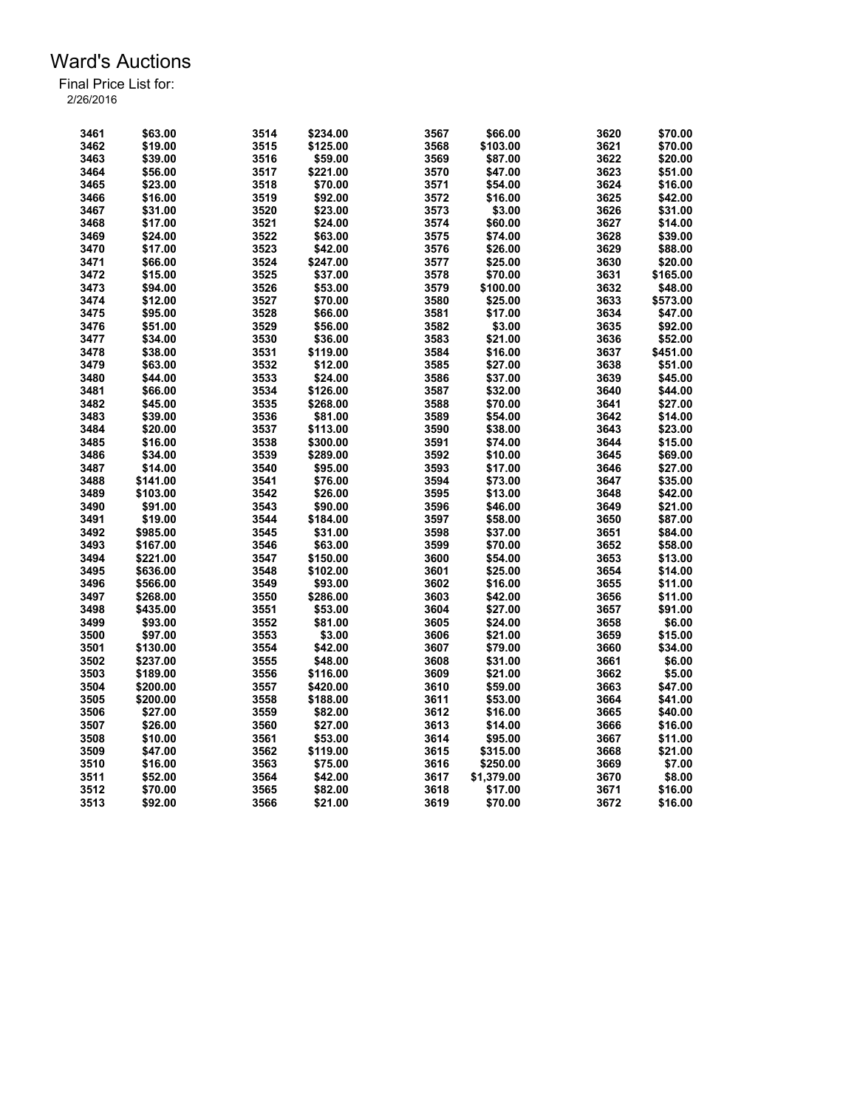| 3461 | \$63.00  | 3514 | \$234.00 | 3567 | \$66.00            | 3620 | \$70.00  |
|------|----------|------|----------|------|--------------------|------|----------|
| 3462 | \$19.00  | 3515 | \$125.00 | 3568 | \$103.00           | 3621 | \$70.00  |
| 3463 | \$39.00  | 3516 | \$59.00  | 3569 | \$87.00            | 3622 | \$20.00  |
| 3464 | \$56.00  | 3517 | \$221.00 | 3570 | \$47.00            | 3623 | \$51.00  |
| 3465 | \$23.00  | 3518 | \$70.00  | 3571 | \$54.00            | 3624 | \$16.00  |
| 3466 | \$16.00  | 3519 | \$92.00  | 3572 | \$16.00            | 3625 | \$42.00  |
| 3467 | \$31.00  | 3520 | \$23.00  | 3573 | \$3.00             | 3626 | \$31.00  |
| 3468 | \$17.00  | 3521 | \$24.00  | 3574 | \$60.00            | 3627 | \$14.00  |
| 3469 | \$24.00  | 3522 | \$63.00  | 3575 | \$74.00            | 3628 | \$39.00  |
| 3470 | \$17.00  | 3523 | \$42.00  | 3576 | \$26.00            | 3629 | \$88.00  |
| 3471 | \$66.00  | 3524 | \$247.00 | 3577 | \$25.00            | 3630 | \$20.00  |
| 3472 | \$15.00  | 3525 | \$37.00  | 3578 | \$70.00            | 3631 | \$165.00 |
| 3473 | \$94.00  | 3526 | \$53.00  | 3579 | \$100.00           | 3632 | \$48.00  |
| 3474 | \$12.00  | 3527 | \$70.00  | 3580 | \$25.00            | 3633 | \$573.00 |
| 3475 | \$95.00  | 3528 | \$66.00  | 3581 | \$17.00            | 3634 | \$47.00  |
| 3476 | \$51.00  | 3529 | \$56.00  | 3582 | \$3.00             | 3635 | \$92.00  |
| 3477 | \$34.00  | 3530 | \$36.00  | 3583 | \$21.00            | 3636 | \$52.00  |
| 3478 | \$38.00  | 3531 | \$119.00 | 3584 | \$16.00            | 3637 | \$451.00 |
|      |          |      |          |      |                    |      |          |
| 3479 | \$63.00  | 3532 | \$12.00  | 3585 | \$27.00            | 3638 | \$51.00  |
| 3480 | \$44.00  | 3533 | \$24.00  | 3586 | \$37.00            | 3639 | \$45.00  |
| 3481 | \$66.00  | 3534 | \$126.00 | 3587 | \$32.00            | 3640 | \$44.00  |
| 3482 | \$45.00  | 3535 | \$268.00 | 3588 | \$70.00            | 3641 | \$27.00  |
| 3483 | \$39.00  | 3536 | \$81.00  | 3589 | \$54.00            | 3642 | \$14.00  |
| 3484 | \$20.00  | 3537 | \$113.00 | 3590 | \$38.00            | 3643 | \$23.00  |
| 3485 | \$16.00  | 3538 | \$300.00 | 3591 | \$74.00            | 3644 | \$15.00  |
| 3486 | \$34.00  | 3539 | \$289.00 | 3592 | \$10.00            | 3645 | \$69.00  |
| 3487 | \$14.00  | 3540 | \$95.00  | 3593 | \$17.00            | 3646 | \$27.00  |
| 3488 | \$141.00 | 3541 | \$76.00  | 3594 | \$73.00            | 3647 | \$35.00  |
| 3489 | \$103.00 | 3542 | \$26.00  | 3595 | \$13.00            | 3648 | \$42.00  |
| 3490 | \$91.00  | 3543 | \$90.00  | 3596 | \$46.00            | 3649 | \$21.00  |
| 3491 | \$19.00  | 3544 | \$184.00 | 3597 | \$58.00            | 3650 | \$87.00  |
| 3492 | \$985.00 | 3545 | \$31.00  | 3598 | \$37.00            | 3651 | \$84.00  |
| 3493 | \$167.00 | 3546 | \$63.00  | 3599 | \$70.00            | 3652 | \$58.00  |
| 3494 | \$221.00 | 3547 | \$150.00 | 3600 | \$54.00            | 3653 | \$13.00  |
| 3495 | \$636.00 | 3548 | \$102.00 | 3601 | \$25.00            | 3654 | \$14.00  |
| 3496 | \$566.00 | 3549 | \$93.00  | 3602 | \$16.00            | 3655 | \$11.00  |
| 3497 | \$268.00 | 3550 | \$286.00 | 3603 | \$42.00            | 3656 | \$11.00  |
| 3498 | \$435.00 | 3551 | \$53.00  | 3604 | \$27.00            | 3657 | \$91.00  |
| 3499 | \$93.00  | 3552 | \$81.00  | 3605 | \$24.00            | 3658 | \$6.00   |
| 3500 | \$97.00  | 3553 | \$3.00   | 3606 | \$21.00            | 3659 | \$15.00  |
| 3501 | \$130.00 | 3554 | \$42.00  | 3607 | \$79.00            | 3660 | \$34.00  |
| 3502 | \$237.00 | 3555 | \$48.00  | 3608 |                    | 3661 | \$6.00   |
| 3503 | \$189.00 | 3556 | \$116.00 | 3609 | \$31.00<br>\$21.00 | 3662 | \$5.00   |
|      |          |      |          |      |                    |      |          |
| 3504 | \$200.00 | 3557 | \$420.00 | 3610 | \$59.00            | 3663 | \$47.00  |
| 3505 | \$200.00 | 3558 | \$188.00 | 3611 | \$53.00            | 3664 | \$41.00  |
| 3506 | \$27.00  | 3559 | \$82.00  | 3612 | \$16.00            | 3665 | \$40.00  |
| 3507 | \$26.00  | 3560 | \$27.00  | 3613 | \$14.00            | 3666 | \$16.00  |
| 3508 | \$10.00  | 3561 | \$53.00  | 3614 | \$95.00            | 3667 | \$11.00  |
| 3509 | \$47.00  | 3562 | \$119.00 | 3615 | \$315.00           | 3668 | \$21.00  |
| 3510 | \$16.00  | 3563 | \$75.00  | 3616 | \$250.00           | 3669 | \$7.00   |
| 3511 | \$52.00  | 3564 | \$42.00  | 3617 | \$1,379.00         | 3670 | \$8.00   |
| 3512 | \$70.00  | 3565 | \$82.00  | 3618 | \$17.00            | 3671 | \$16.00  |
| 3513 | \$92.00  | 3566 | \$21.00  | 3619 | \$70.00            | 3672 | \$16.00  |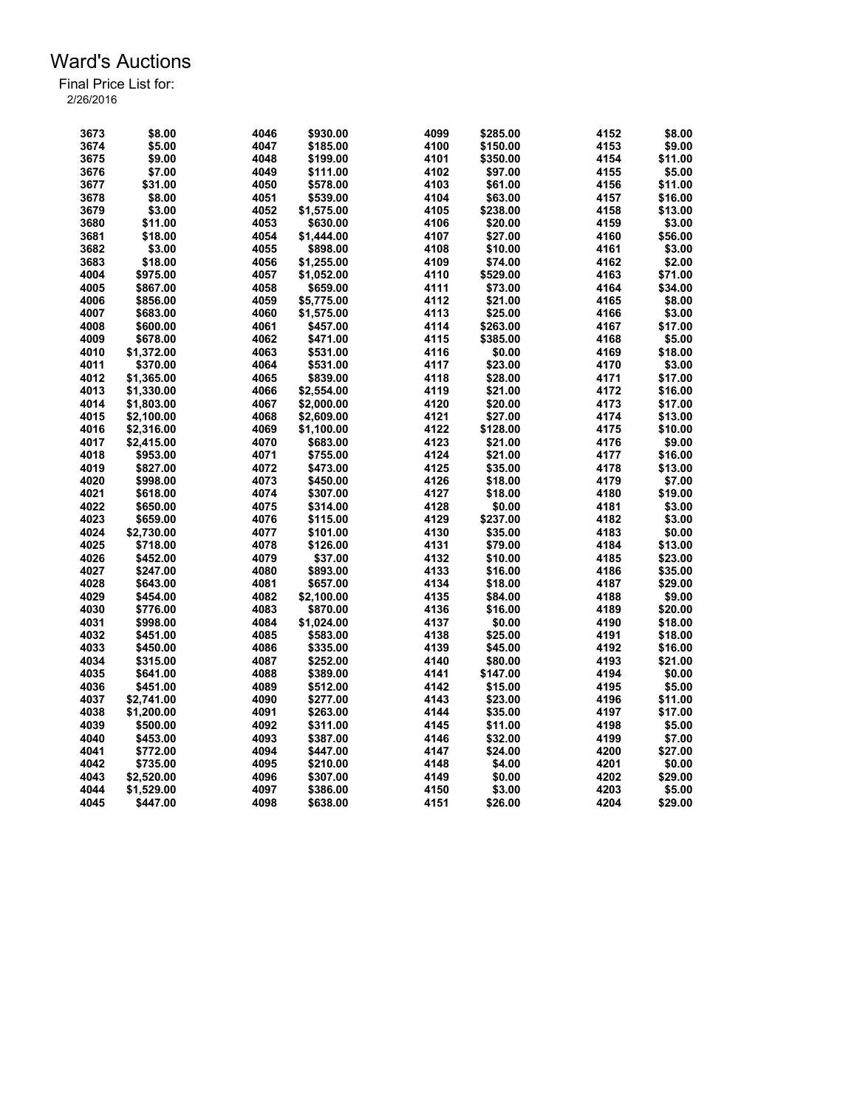| 3673 | \$8.00     | 4046 | \$930.00   | 4099 | \$285.00 | 4152 | \$8.00  |
|------|------------|------|------------|------|----------|------|---------|
| 3674 | \$5.00     | 4047 | \$185.00   | 4100 | \$150.00 | 4153 | \$9.00  |
| 3675 | \$9.00     | 4048 | \$199.00   | 4101 | \$350.00 | 4154 | \$11.00 |
| 3676 | \$7.00     | 4049 | \$111.00   | 4102 | \$97.00  | 4155 | \$5.00  |
| 3677 | \$31.00    | 4050 | \$578.00   | 4103 | \$61.00  | 4156 | \$11.00 |
| 3678 | \$8.00     | 4051 | \$539.00   | 4104 | \$63.00  | 4157 | \$16.00 |
| 3679 | \$3.00     | 4052 | \$1,575.00 | 4105 | \$238.00 | 4158 | \$13.00 |
| 3680 | \$11.00    | 4053 | \$630.00   | 4106 | \$20.00  | 4159 | \$3.00  |
| 3681 | \$18.00    | 4054 | \$1,444.00 | 4107 | \$27.00  | 4160 | \$56.00 |
|      |            |      |            |      |          |      |         |
| 3682 | \$3.00     | 4055 | \$898.00   | 4108 | \$10.00  | 4161 | \$3.00  |
| 3683 | \$18.00    | 4056 | \$1,255.00 | 4109 | \$74.00  | 4162 | \$2.00  |
| 4004 | \$975.00   | 4057 | \$1,052.00 | 4110 | \$529.00 | 4163 | \$71.00 |
| 4005 | \$867.00   | 4058 | \$659.00   | 4111 | \$73.00  | 4164 | \$34.00 |
| 4006 | \$856.00   | 4059 | \$5,775.00 | 4112 | \$21.00  | 4165 | \$8.00  |
| 4007 | \$683.00   | 4060 | \$1,575.00 | 4113 | \$25.00  | 4166 | \$3.00  |
| 4008 | \$600.00   | 4061 | \$457.00   | 4114 | \$263.00 | 4167 | \$17.00 |
| 4009 | \$678.00   | 4062 | \$471.00   | 4115 | \$385.00 | 4168 | \$5.00  |
| 4010 | \$1,372.00 | 4063 | \$531.00   | 4116 | \$0.00   | 4169 | \$18.00 |
| 4011 | \$370.00   | 4064 | \$531.00   | 4117 | \$23.00  | 4170 | \$3.00  |
| 4012 | \$1,365.00 | 4065 | \$839.00   | 4118 | \$28.00  | 4171 | \$17.00 |
| 4013 | \$1,330.00 | 4066 | \$2,554.00 | 4119 | \$21.00  | 4172 | \$16.00 |
| 4014 | \$1,803.00 | 4067 | \$2,000.00 | 4120 | \$20.00  | 4173 | \$17.00 |
| 4015 | \$2.100.00 | 4068 | \$2.609.00 | 4121 | \$27.00  | 4174 | \$13.00 |
| 4016 | \$2,316.00 | 4069 | \$1,100.00 | 4122 | \$128.00 | 4175 | \$10.00 |
| 4017 | \$2,415.00 | 4070 | \$683.00   | 4123 | \$21.00  | 4176 | \$9.00  |
| 4018 | \$953.00   | 4071 | \$755.00   | 4124 | \$21.00  | 4177 | \$16.00 |
| 4019 | \$827.00   | 4072 | \$473.00   | 4125 | \$35.00  | 4178 | \$13.00 |
| 4020 | \$998.00   | 4073 | \$450.00   | 4126 | \$18.00  | 4179 | \$7.00  |
| 4021 | \$618.00   | 4074 | \$307.00   | 4127 | \$18.00  | 4180 | \$19.00 |
| 4022 | \$650.00   | 4075 | \$314.00   | 4128 | \$0.00   | 4181 | \$3.00  |
| 4023 | \$659.00   | 4076 | \$115.00   | 4129 | \$237.00 | 4182 | \$3.00  |
| 4024 | \$2,730.00 | 4077 | \$101.00   | 4130 | \$35.00  | 4183 | \$0.00  |
| 4025 | \$718.00   | 4078 | \$126.00   | 4131 | \$79.00  | 4184 | \$13.00 |
| 4026 |            |      |            |      |          |      |         |
|      | \$452.00   | 4079 | \$37.00    | 4132 | \$10.00  | 4185 | \$23.00 |
| 4027 | \$247.00   | 4080 | \$893.00   | 4133 | \$16.00  | 4186 | \$35.00 |
| 4028 | \$643.00   | 4081 | \$657.00   | 4134 | \$18.00  | 4187 | \$29.00 |
| 4029 | \$454.00   | 4082 | \$2,100.00 | 4135 | \$84.00  | 4188 | \$9.00  |
| 4030 | \$776.00   | 4083 | \$870.00   | 4136 | \$16.00  | 4189 | \$20.00 |
| 4031 | \$998.00   | 4084 | \$1,024.00 | 4137 | \$0.00   | 4190 | \$18.00 |
| 4032 | \$451.00   | 4085 | \$583.00   | 4138 | \$25.00  | 4191 | \$18.00 |
| 4033 | \$450.00   | 4086 | \$335.00   | 4139 | \$45.00  | 4192 | \$16.00 |
| 4034 | \$315.00   | 4087 | \$252.00   | 4140 | \$80.00  | 4193 | \$21.00 |
| 4035 | \$641.00   | 4088 | \$389.00   | 4141 | \$147.00 | 4194 | \$0.00  |
| 4036 | \$451.00   | 4089 | \$512.00   | 4142 | \$15.00  | 4195 | \$5.00  |
| 4037 | \$2,741.00 | 4090 | \$277.00   | 4143 | \$23.00  | 4196 | \$11.00 |
| 4038 | \$1.200.00 | 4091 | \$263.00   | 4144 | \$35.00  | 4197 | \$17.00 |
| 4039 | \$500.00   | 4092 | \$311.00   | 4145 | \$11.00  | 4198 | \$5.00  |
| 4040 | \$453.00   | 4093 | \$387.00   | 4146 | \$32.00  | 4199 | \$7.00  |
| 4041 | \$772.00   | 4094 | \$447.00   | 4147 | \$24.00  | 4200 | \$27.00 |
| 4042 | \$735.00   | 4095 | \$210.00   | 4148 | \$4.00   | 4201 | \$0.00  |
| 4043 | \$2,520.00 | 4096 | \$307.00   | 4149 | \$0.00   | 4202 | \$29.00 |
| 4044 | \$1,529.00 | 4097 | \$386.00   | 4150 | \$3.00   | 4203 | \$5.00  |
| 4045 | \$447.00   | 4098 | \$638.00   | 4151 | \$26.00  | 4204 | \$29.00 |
|      |            |      |            |      |          |      |         |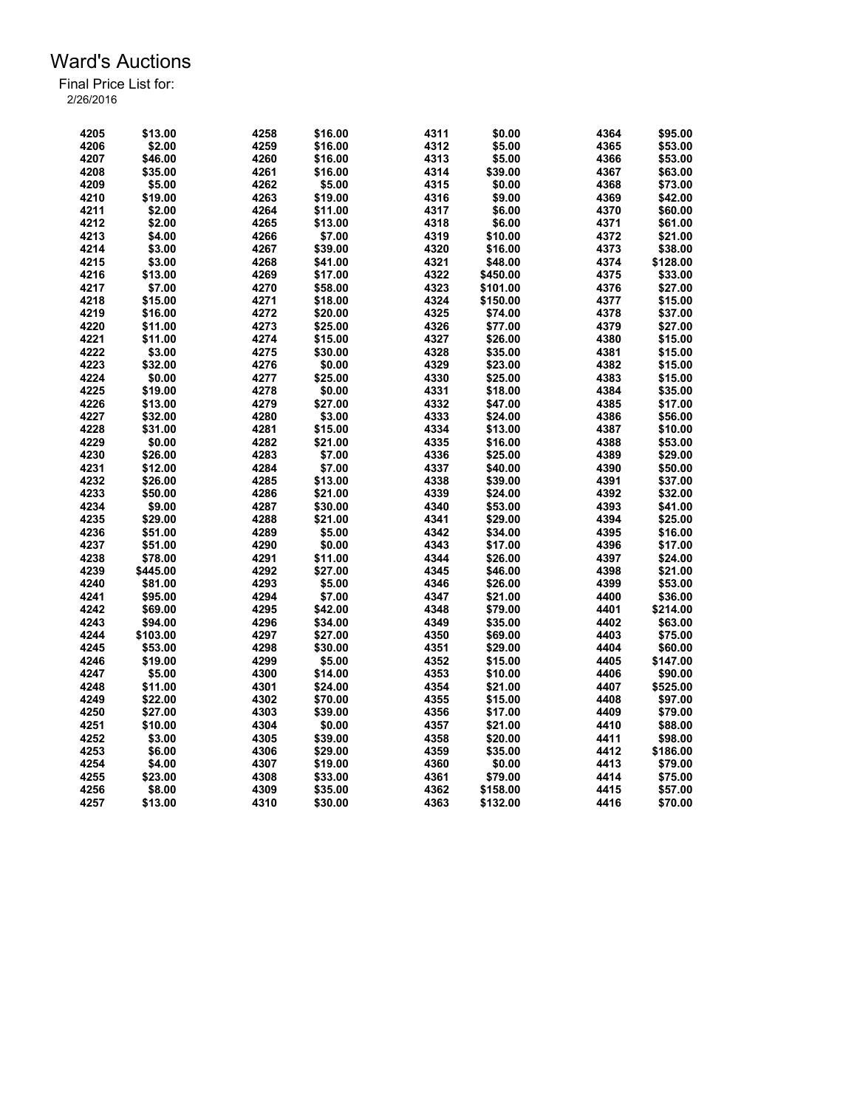| 4205 | \$13.00  | 4258 | \$16.00 | 4311 | \$0.00   | 4364 | \$95.00  |
|------|----------|------|---------|------|----------|------|----------|
| 4206 | \$2.00   | 4259 | \$16.00 | 4312 | \$5.00   | 4365 | \$53.00  |
| 4207 | \$46.00  | 4260 | \$16.00 | 4313 | \$5.00   | 4366 | \$53.00  |
| 4208 | \$35.00  | 4261 | \$16.00 | 4314 | \$39.00  | 4367 | \$63.00  |
| 4209 | \$5.00   | 4262 | \$5.00  | 4315 | \$0.00   | 4368 | \$73.00  |
| 4210 | \$19.00  | 4263 | \$19.00 | 4316 | \$9.00   | 4369 | \$42.00  |
| 4211 | \$2.00   | 4264 | \$11.00 | 4317 | \$6.00   | 4370 | \$60.00  |
| 4212 | \$2.00   | 4265 | \$13.00 | 4318 | \$6.00   | 4371 | \$61.00  |
| 4213 | \$4.00   | 4266 | \$7.00  | 4319 | \$10.00  | 4372 | \$21.00  |
| 4214 | \$3.00   | 4267 | \$39.00 | 4320 | \$16.00  | 4373 | \$38.00  |
| 4215 | \$3.00   | 4268 | \$41.00 | 4321 | \$48.00  | 4374 | \$128.00 |
| 4216 | \$13.00  | 4269 | \$17.00 | 4322 | \$450.00 | 4375 | \$33.00  |
| 4217 | \$7.00   | 4270 | \$58.00 | 4323 | \$101.00 | 4376 | \$27.00  |
| 4218 | \$15.00  | 4271 | \$18.00 | 4324 | \$150.00 | 4377 | \$15.00  |
| 4219 | \$16.00  | 4272 | \$20.00 | 4325 | \$74.00  | 4378 | \$37.00  |
| 4220 | \$11.00  | 4273 | \$25.00 | 4326 | \$77.00  | 4379 | \$27.00  |
| 4221 | \$11.00  | 4274 | \$15.00 | 4327 | \$26.00  | 4380 | \$15.00  |
| 4222 | \$3.00   | 4275 | \$30.00 | 4328 | \$35.00  | 4381 | \$15.00  |
| 4223 | \$32.00  | 4276 | \$0.00  |      |          | 4382 |          |
|      |          |      |         | 4329 | \$23.00  |      | \$15.00  |
| 4224 | \$0.00   | 4277 | \$25.00 | 4330 | \$25.00  | 4383 | \$15.00  |
| 4225 | \$19.00  | 4278 | \$0.00  | 4331 | \$18.00  | 4384 | \$35.00  |
| 4226 | \$13.00  | 4279 | \$27.00 | 4332 | \$47.00  | 4385 | \$17.00  |
| 4227 | \$32.00  | 4280 | \$3.00  | 4333 | \$24.00  | 4386 | \$56.00  |
| 4228 | \$31.00  | 4281 | \$15.00 | 4334 | \$13.00  | 4387 | \$10.00  |
| 4229 | \$0.00   | 4282 | \$21.00 | 4335 | \$16.00  | 4388 | \$53.00  |
| 4230 | \$26.00  | 4283 | \$7.00  | 4336 | \$25.00  | 4389 | \$29.00  |
| 4231 | \$12.00  | 4284 | \$7.00  | 4337 | \$40.00  | 4390 | \$50.00  |
| 4232 | \$26.00  | 4285 | \$13.00 | 4338 | \$39.00  | 4391 | \$37.00  |
| 4233 | \$50.00  | 4286 | \$21.00 | 4339 | \$24.00  | 4392 | \$32.00  |
| 4234 | \$9.00   | 4287 | \$30.00 | 4340 | \$53.00  | 4393 | \$41.00  |
| 4235 | \$29.00  | 4288 | \$21.00 | 4341 | \$29.00  | 4394 | \$25.00  |
| 4236 | \$51.00  | 4289 | \$5.00  | 4342 | \$34.00  | 4395 | \$16.00  |
| 4237 | \$51.00  | 4290 | \$0.00  | 4343 | \$17.00  | 4396 | \$17.00  |
| 4238 | \$78.00  | 4291 | \$11.00 | 4344 | \$26.00  | 4397 | \$24.00  |
| 4239 | \$445.00 | 4292 | \$27.00 | 4345 | \$46.00  | 4398 | \$21.00  |
| 4240 | \$81.00  | 4293 | \$5.00  | 4346 | \$26.00  | 4399 | \$53.00  |
| 4241 | \$95.00  | 4294 | \$7.00  | 4347 | \$21.00  | 4400 | \$36.00  |
| 4242 | \$69.00  | 4295 | \$42.00 | 4348 | \$79.00  | 4401 | \$214.00 |
| 4243 | \$94.00  | 4296 | \$34.00 | 4349 | \$35.00  | 4402 | \$63.00  |
| 4244 | \$103.00 | 4297 | \$27.00 | 4350 | \$69.00  | 4403 | \$75.00  |
| 4245 | \$53.00  | 4298 | \$30.00 | 4351 | \$29.00  | 4404 | \$60.00  |
| 4246 | \$19.00  | 4299 | \$5.00  | 4352 | \$15.00  | 4405 | \$147.00 |
| 4247 | \$5.00   | 4300 | \$14.00 | 4353 | \$10.00  | 4406 | \$90.00  |
| 4248 | \$11.00  | 4301 | \$24.00 | 4354 | \$21.00  | 4407 | \$525.00 |
| 4249 | \$22.00  | 4302 | \$70.00 | 4355 | \$15.00  | 4408 | \$97.00  |
| 4250 | \$27.00  | 4303 | \$39.00 | 4356 | \$17.00  | 4409 | \$79.00  |
| 4251 | \$10.00  | 4304 | \$0.00  | 4357 | \$21.00  | 4410 | \$88.00  |
| 4252 | \$3.00   | 4305 | \$39.00 | 4358 | \$20.00  | 4411 | \$98.00  |
| 4253 | \$6.00   | 4306 | \$29.00 | 4359 | \$35.00  | 4412 | \$186.00 |
| 4254 | \$4.00   | 4307 | \$19.00 | 4360 | \$0.00   | 4413 | \$79.00  |
| 4255 | \$23.00  | 4308 | \$33.00 | 4361 | \$79.00  | 4414 | \$75.00  |
| 4256 | \$8.00   | 4309 | \$35.00 | 4362 | \$158.00 | 4415 | \$57.00  |
| 4257 | \$13.00  | 4310 | \$30.00 | 4363 | \$132.00 | 4416 | \$70.00  |
|      |          |      |         |      |          |      |          |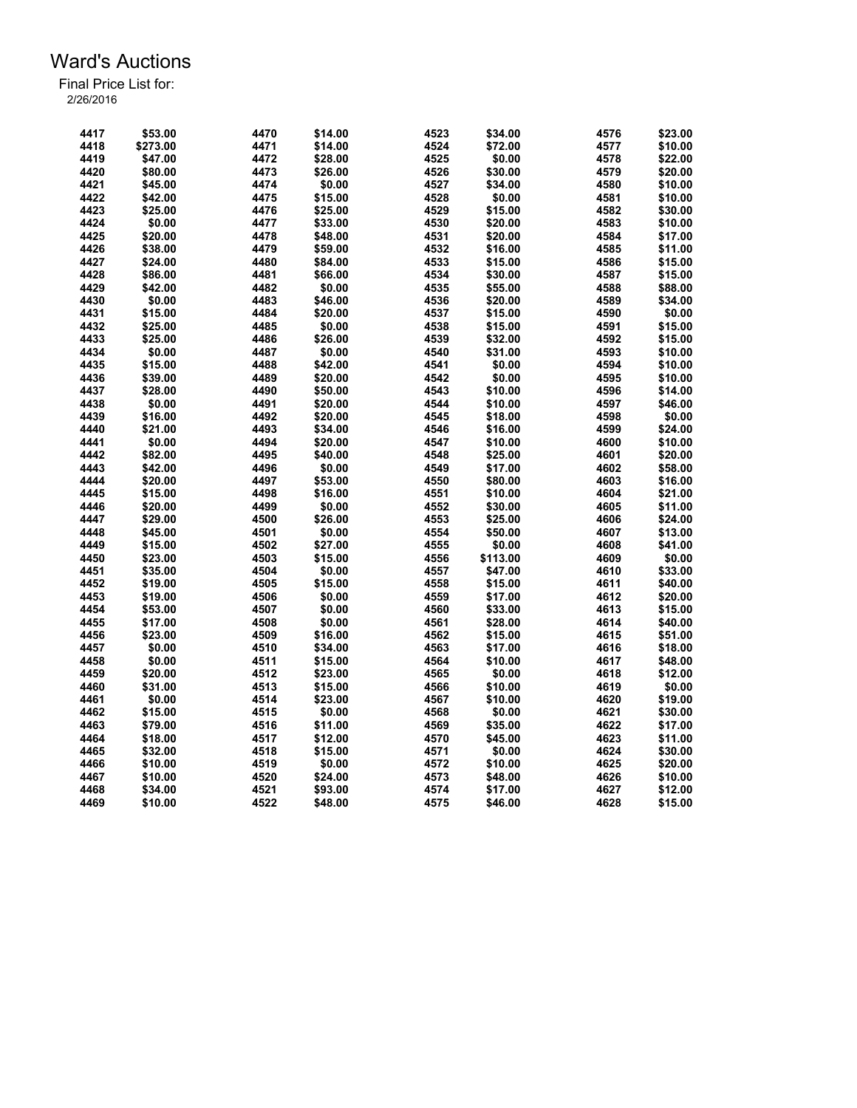| 4417 | \$53.00  | 4470 | \$14.00 | 4523 | \$34.00          | 4576 | \$23.00 |
|------|----------|------|---------|------|------------------|------|---------|
| 4418 | \$273.00 | 4471 | \$14.00 | 4524 | \$72.00          | 4577 | \$10.00 |
| 4419 | \$47.00  | 4472 | \$28.00 | 4525 | \$0.00           | 4578 | \$22.00 |
| 4420 | \$80.00  | 4473 | \$26.00 | 4526 | \$30.00          | 4579 | \$20.00 |
| 4421 | \$45.00  | 4474 | \$0.00  | 4527 | \$34.00          | 4580 | \$10.00 |
| 4422 | \$42.00  | 4475 | \$15.00 | 4528 | \$0.00           | 4581 | \$10.00 |
| 4423 | \$25.00  | 4476 | \$25.00 | 4529 | \$15.00          | 4582 | \$30.00 |
| 4424 | \$0.00   | 4477 | \$33.00 | 4530 | \$20.00          | 4583 | \$10.00 |
| 4425 | \$20.00  | 4478 | \$48.00 | 4531 | \$20.00          | 4584 | \$17.00 |
| 4426 | \$38.00  | 4479 | \$59.00 | 4532 | \$16.00          | 4585 | \$11.00 |
| 4427 | \$24.00  | 4480 | \$84.00 | 4533 | \$15.00          | 4586 | \$15.00 |
| 4428 | \$86.00  | 4481 | \$66.00 | 4534 | \$30.00          | 4587 | \$15.00 |
| 4429 | \$42.00  | 4482 | \$0.00  | 4535 | \$55.00          | 4588 | \$88.00 |
| 4430 | \$0.00   | 4483 | \$46.00 | 4536 | \$20.00          | 4589 | \$34.00 |
| 4431 | \$15.00  | 4484 | \$20.00 | 4537 | \$15.00          | 4590 | \$0.00  |
| 4432 | \$25.00  | 4485 | \$0.00  | 4538 | \$15.00          | 4591 | \$15.00 |
| 4433 | \$25.00  | 4486 | \$26.00 | 4539 | \$32.00          | 4592 | \$15.00 |
| 4434 | \$0.00   | 4487 | \$0.00  | 4540 | \$31.00          | 4593 | \$10.00 |
| 4435 | \$15.00  |      |         | 4541 |                  | 4594 |         |
| 4436 |          | 4488 | \$42.00 | 4542 | \$0.00<br>\$0.00 | 4595 | \$10.00 |
|      | \$39.00  | 4489 | \$20.00 |      |                  |      | \$10.00 |
| 4437 | \$28.00  | 4490 | \$50.00 | 4543 | \$10.00          | 4596 | \$14.00 |
| 4438 | \$0.00   | 4491 | \$20.00 | 4544 | \$10.00          | 4597 | \$46.00 |
| 4439 | \$16.00  | 4492 | \$20.00 | 4545 | \$18.00          | 4598 | \$0.00  |
| 4440 | \$21.00  | 4493 | \$34.00 | 4546 | \$16.00          | 4599 | \$24.00 |
| 4441 | \$0.00   | 4494 | \$20.00 | 4547 | \$10.00          | 4600 | \$10.00 |
| 4442 | \$82.00  | 4495 | \$40.00 | 4548 | \$25.00          | 4601 | \$20.00 |
| 4443 | \$42.00  | 4496 | \$0.00  | 4549 | \$17.00          | 4602 | \$58.00 |
| 4444 | \$20.00  | 4497 | \$53.00 | 4550 | \$80.00          | 4603 | \$16.00 |
| 4445 | \$15.00  | 4498 | \$16.00 | 4551 | \$10.00          | 4604 | \$21.00 |
| 4446 | \$20.00  | 4499 | \$0.00  | 4552 | \$30.00          | 4605 | \$11.00 |
| 4447 | \$29.00  | 4500 | \$26.00 | 4553 | \$25.00          | 4606 | \$24.00 |
| 4448 | \$45.00  | 4501 | \$0.00  | 4554 | \$50.00          | 4607 | \$13.00 |
| 4449 | \$15.00  | 4502 | \$27.00 | 4555 | \$0.00           | 4608 | \$41.00 |
| 4450 | \$23.00  | 4503 | \$15.00 | 4556 | \$113.00         | 4609 | \$0.00  |
| 4451 | \$35.00  | 4504 | \$0.00  | 4557 | \$47.00          | 4610 | \$33.00 |
| 4452 | \$19.00  | 4505 | \$15.00 | 4558 | \$15.00          | 4611 | \$40.00 |
| 4453 | \$19.00  | 4506 | \$0.00  | 4559 | \$17.00          | 4612 | \$20.00 |
| 4454 | \$53.00  | 4507 | \$0.00  | 4560 | \$33.00          | 4613 | \$15.00 |
| 4455 | \$17.00  | 4508 | \$0.00  | 4561 | \$28.00          | 4614 | \$40.00 |
| 4456 | \$23.00  | 4509 | \$16.00 | 4562 | \$15.00          | 4615 | \$51.00 |
| 4457 | \$0.00   | 4510 | \$34.00 | 4563 | \$17.00          | 4616 | \$18.00 |
| 4458 | \$0.00   | 4511 | \$15.00 | 4564 | \$10.00          | 4617 | \$48.00 |
| 4459 | \$20.00  | 4512 | \$23.00 | 4565 | \$0.00           | 4618 | \$12.00 |
| 4460 | \$31.00  | 4513 | \$15.00 | 4566 | \$10.00          | 4619 | \$0.00  |
| 4461 | \$0.00   | 4514 | \$23.00 | 4567 | \$10.00          | 4620 | \$19.00 |
| 4462 | \$15.00  | 4515 | \$0.00  | 4568 | \$0.00           | 4621 | \$30.00 |
| 4463 | \$79.00  | 4516 | \$11.00 | 4569 | \$35.00          | 4622 | \$17.00 |
| 4464 | \$18.00  | 4517 | \$12.00 | 4570 | \$45.00          | 4623 | \$11.00 |
| 4465 | \$32.00  | 4518 | \$15.00 | 4571 | \$0.00           | 4624 | \$30.00 |
| 4466 | \$10.00  | 4519 | \$0.00  | 4572 | \$10.00          | 4625 | \$20.00 |
| 4467 | \$10.00  | 4520 | \$24.00 | 4573 | \$48.00          | 4626 | \$10.00 |
| 4468 | \$34.00  | 4521 | \$93.00 | 4574 | \$17.00          | 4627 | \$12.00 |
| 4469 | \$10.00  | 4522 | \$48.00 | 4575 | \$46.00          | 4628 | \$15.00 |
|      |          |      |         |      |                  |      |         |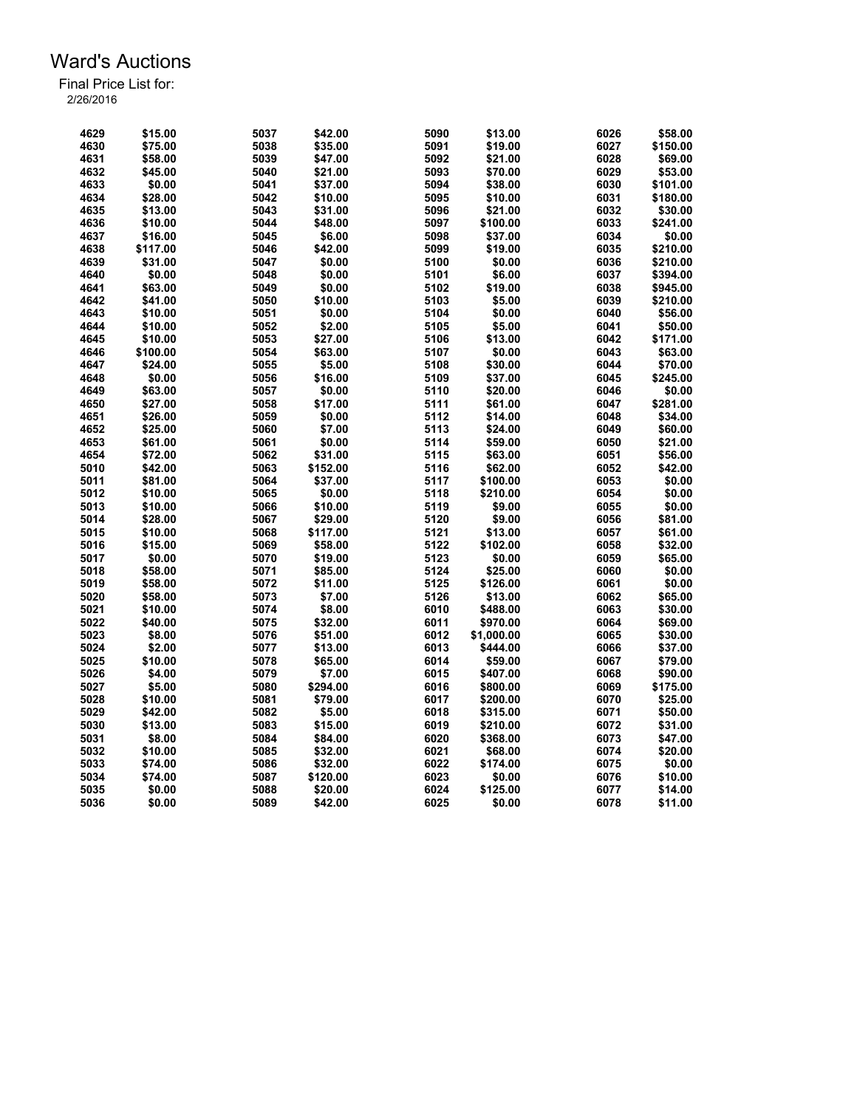| 4629 | \$15.00  | 5037 | \$42.00  | 5090 | \$13.00    | 6026 | \$58.00  |
|------|----------|------|----------|------|------------|------|----------|
| 4630 | \$75.00  | 5038 | \$35.00  | 5091 | \$19.00    | 6027 | \$150.00 |
| 4631 | \$58.00  | 5039 | \$47.00  | 5092 | \$21.00    | 6028 | \$69.00  |
| 4632 | \$45.00  | 5040 | \$21.00  | 5093 | \$70.00    | 6029 | \$53.00  |
| 4633 | \$0.00   | 5041 | \$37.00  | 5094 | \$38.00    | 6030 | \$101.00 |
| 4634 | \$28.00  | 5042 | \$10.00  | 5095 | \$10.00    | 6031 | \$180.00 |
| 4635 | \$13.00  | 5043 | \$31.00  | 5096 | \$21.00    | 6032 | \$30.00  |
| 4636 | \$10.00  | 5044 | \$48.00  | 5097 | \$100.00   | 6033 | \$241.00 |
| 4637 | \$16.00  | 5045 | \$6.00   | 5098 | \$37.00    | 6034 | \$0.00   |
| 4638 | \$117.00 | 5046 | \$42.00  | 5099 | \$19.00    | 6035 | \$210.00 |
| 4639 | \$31.00  | 5047 | \$0.00   | 5100 | \$0.00     | 6036 | \$210.00 |
| 4640 | \$0.00   | 5048 | \$0.00   | 5101 | \$6.00     | 6037 | \$394.00 |
| 4641 | \$63.00  | 5049 | \$0.00   | 5102 | \$19.00    | 6038 | \$945.00 |
| 4642 | \$41.00  | 5050 | \$10.00  | 5103 | \$5.00     | 6039 | \$210.00 |
| 4643 | \$10.00  | 5051 | \$0.00   | 5104 | \$0.00     | 6040 | \$56.00  |
| 4644 | \$10.00  | 5052 | \$2.00   | 5105 | \$5.00     | 6041 | \$50.00  |
| 4645 | \$10.00  | 5053 | \$27.00  | 5106 | \$13.00    | 6042 | \$171.00 |
| 4646 | \$100.00 | 5054 | \$63.00  | 5107 | \$0.00     | 6043 | \$63.00  |
| 4647 | \$24.00  | 5055 | \$5.00   | 5108 | \$30.00    | 6044 | \$70.00  |
| 4648 | \$0.00   | 5056 | \$16.00  | 5109 | \$37.00    | 6045 | \$245.00 |
| 4649 | \$63.00  | 5057 | \$0.00   | 5110 | \$20.00    | 6046 | \$0.00   |
| 4650 | \$27.00  | 5058 | \$17.00  | 5111 | \$61.00    | 6047 | \$281.00 |
| 4651 | \$26.00  | 5059 | \$0.00   | 5112 | \$14.00    | 6048 | \$34.00  |
| 4652 | \$25.00  | 5060 | \$7.00   | 5113 | \$24.00    | 6049 | \$60.00  |
| 4653 | \$61.00  | 5061 | \$0.00   | 5114 | \$59.00    | 6050 | \$21.00  |
| 4654 | \$72.00  | 5062 | \$31.00  | 5115 | \$63.00    | 6051 | \$56.00  |
| 5010 | \$42.00  | 5063 | \$152.00 | 5116 | \$62.00    | 6052 | \$42.00  |
| 5011 | \$81.00  | 5064 | \$37.00  | 5117 | \$100.00   | 6053 | \$0.00   |
| 5012 | \$10.00  | 5065 | \$0.00   | 5118 | \$210.00   | 6054 | \$0.00   |
| 5013 | \$10.00  | 5066 | \$10.00  | 5119 | \$9.00     | 6055 | \$0.00   |
| 5014 | \$28.00  | 5067 | \$29.00  | 5120 | \$9.00     | 6056 | \$81.00  |
| 5015 | \$10.00  | 5068 | \$117.00 | 5121 | \$13.00    | 6057 | \$61.00  |
| 5016 | \$15.00  | 5069 | \$58.00  | 5122 | \$102.00   | 6058 | \$32.00  |
| 5017 | \$0.00   | 5070 | \$19.00  | 5123 | \$0.00     | 6059 | \$65.00  |
| 5018 | \$58.00  | 5071 | \$85.00  | 5124 | \$25.00    | 6060 | \$0.00   |
| 5019 | \$58.00  | 5072 | \$11.00  | 5125 | \$126.00   | 6061 | \$0.00   |
| 5020 | \$58.00  | 5073 | \$7.00   | 5126 | \$13.00    | 6062 | \$65.00  |
| 5021 | \$10.00  | 5074 | \$8.00   | 6010 | \$488.00   | 6063 | \$30.00  |
| 5022 | \$40.00  | 5075 | \$32.00  | 6011 | \$970.00   | 6064 | \$69.00  |
| 5023 | \$8.00   | 5076 | \$51.00  | 6012 | \$1,000.00 | 6065 | \$30.00  |
| 5024 | \$2.00   | 5077 | \$13.00  | 6013 | \$444.00   | 6066 | \$37.00  |
| 5025 | \$10.00  | 5078 | \$65.00  | 6014 | \$59.00    | 6067 | \$79.00  |
| 5026 | \$4.00   | 5079 | \$7.00   | 6015 | \$407.00   | 6068 | \$90.00  |
| 5027 | \$5.00   | 5080 | \$294.00 | 6016 | \$800.00   | 6069 | \$175.00 |
| 5028 | \$10.00  | 5081 | \$79.00  | 6017 | \$200.00   | 6070 | \$25.00  |
| 5029 | \$42.00  | 5082 | \$5.00   | 6018 | \$315.00   | 6071 | \$50.00  |
| 5030 | \$13.00  | 5083 | \$15.00  | 6019 | \$210.00   | 6072 | \$31.00  |
| 5031 | \$8.00   | 5084 | \$84.00  | 6020 | \$368.00   | 6073 | \$47.00  |
| 5032 | \$10.00  | 5085 | \$32.00  | 6021 | \$68.00    | 6074 | \$20.00  |
| 5033 | \$74.00  | 5086 | \$32.00  | 6022 | \$174.00   | 6075 | \$0.00   |
| 5034 | \$74.00  | 5087 | \$120.00 | 6023 | \$0.00     | 6076 | \$10.00  |
| 5035 | \$0.00   | 5088 | \$20.00  | 6024 | \$125.00   | 6077 | \$14.00  |
| 5036 | \$0.00   | 5089 | \$42.00  | 6025 | \$0.00     | 6078 | \$11.00  |
|      |          |      |          |      |            |      |          |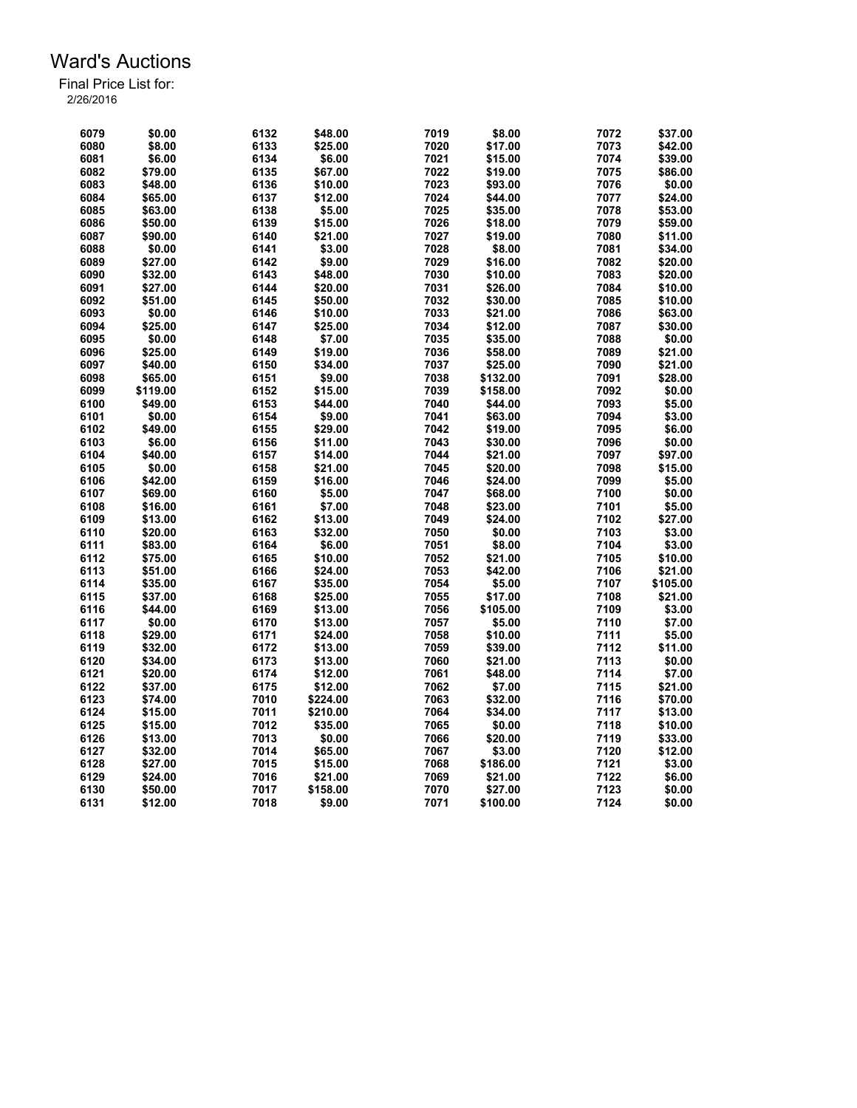| 6079 | \$0.00   | 6132 | \$48.00  | 7019 | \$8.00   | 7072 | \$37.00  |
|------|----------|------|----------|------|----------|------|----------|
| 6080 | \$8.00   | 6133 | \$25.00  | 7020 | \$17.00  | 7073 | \$42.00  |
| 6081 | \$6.00   | 6134 | \$6.00   | 7021 | \$15.00  | 7074 | \$39.00  |
| 6082 | \$79.00  | 6135 | \$67.00  | 7022 | \$19.00  | 7075 | \$86.00  |
| 6083 | \$48.00  | 6136 | \$10.00  | 7023 | \$93.00  | 7076 | \$0.00   |
| 6084 | \$65.00  | 6137 | \$12.00  | 7024 | \$44.00  | 7077 | \$24.00  |
| 6085 | \$63.00  | 6138 | \$5.00   | 7025 | \$35.00  | 7078 | \$53.00  |
| 6086 | \$50.00  | 6139 | \$15.00  | 7026 | \$18.00  | 7079 | \$59.00  |
| 6087 | \$90.00  | 6140 | \$21.00  | 7027 | \$19.00  | 7080 | \$11.00  |
| 6088 | \$0.00   | 6141 | \$3.00   | 7028 | \$8.00   | 7081 | \$34.00  |
| 6089 | \$27.00  | 6142 | \$9.00   | 7029 | \$16.00  | 7082 | \$20.00  |
| 6090 | \$32.00  | 6143 | \$48.00  | 7030 | \$10.00  | 7083 | \$20.00  |
| 6091 | \$27.00  | 6144 | \$20.00  | 7031 | \$26.00  | 7084 | \$10.00  |
| 6092 | \$51.00  | 6145 | \$50.00  | 7032 | \$30.00  | 7085 | \$10.00  |
| 6093 | \$0.00   | 6146 | \$10.00  | 7033 | \$21.00  | 7086 | \$63.00  |
| 6094 | \$25.00  | 6147 | \$25.00  | 7034 | \$12.00  | 7087 | \$30.00  |
| 6095 | \$0.00   | 6148 | \$7.00   | 7035 | \$35.00  | 7088 | \$0.00   |
| 6096 | \$25.00  | 6149 | \$19.00  | 7036 | \$58.00  | 7089 | \$21.00  |
| 6097 | \$40.00  | 6150 | \$34.00  | 7037 | \$25.00  | 7090 | \$21.00  |
| 6098 | \$65.00  | 6151 | \$9.00   | 7038 | \$132.00 | 7091 | \$28.00  |
| 6099 | \$119.00 | 6152 | \$15.00  | 7039 | \$158.00 | 7092 | \$0.00   |
| 6100 | \$49.00  | 6153 | \$44.00  | 7040 | \$44.00  | 7093 | \$5.00   |
| 6101 | \$0.00   | 6154 | \$9.00   | 7041 | \$63.00  | 7094 | \$3.00   |
|      |          |      |          |      |          |      |          |
| 6102 | \$49.00  | 6155 | \$29.00  | 7042 | \$19.00  | 7095 | \$6.00   |
| 6103 | \$6.00   | 6156 | \$11.00  | 7043 | \$30.00  | 7096 | \$0.00   |
| 6104 | \$40.00  | 6157 | \$14.00  | 7044 | \$21.00  | 7097 | \$97.00  |
| 6105 | \$0.00   | 6158 | \$21.00  | 7045 | \$20.00  | 7098 | \$15.00  |
| 6106 | \$42.00  | 6159 | \$16.00  | 7046 | \$24.00  | 7099 | \$5.00   |
| 6107 | \$69.00  | 6160 | \$5.00   | 7047 | \$68.00  | 7100 | \$0.00   |
| 6108 | \$16.00  | 6161 | \$7.00   | 7048 | \$23.00  | 7101 | \$5.00   |
| 6109 | \$13.00  | 6162 | \$13.00  | 7049 | \$24.00  | 7102 | \$27.00  |
| 6110 | \$20.00  | 6163 | \$32.00  | 7050 | \$0.00   | 7103 | \$3.00   |
| 6111 | \$83.00  | 6164 | \$6.00   | 7051 | \$8.00   | 7104 | \$3.00   |
| 6112 | \$75.00  | 6165 | \$10.00  | 7052 | \$21.00  | 7105 | \$10.00  |
| 6113 | \$51.00  | 6166 | \$24.00  | 7053 | \$42.00  | 7106 | \$21.00  |
| 6114 | \$35.00  | 6167 | \$35.00  | 7054 | \$5.00   | 7107 | \$105.00 |
| 6115 | \$37.00  | 6168 | \$25.00  | 7055 | \$17.00  | 7108 | \$21.00  |
| 6116 | \$44.00  | 6169 | \$13.00  | 7056 | \$105.00 | 7109 | \$3.00   |
| 6117 | \$0.00   | 6170 | \$13.00  | 7057 | \$5.00   | 7110 | \$7.00   |
| 6118 | \$29.00  | 6171 | \$24.00  | 7058 | \$10.00  | 7111 | \$5.00   |
| 6119 | \$32.00  | 6172 | \$13.00  | 7059 | \$39.00  | 7112 | \$11.00  |
| 6120 | \$34.00  | 6173 | \$13.00  | 7060 | \$21.00  | 7113 | \$0.00   |
| 6121 | \$20.00  | 6174 | \$12.00  | 7061 | \$48.00  | 7114 | \$7.00   |
| 6122 | \$37.00  | 6175 | \$12.00  | 7062 | \$7.00   | 7115 | \$21.00  |
| 6123 | \$74.00  | 7010 | \$224.00 | 7063 | \$32.00  | 7116 | \$70.00  |
| 6124 | \$15.00  | 7011 | \$210.00 | 7064 | \$34.00  | 7117 | \$13.00  |
| 6125 | \$15.00  | 7012 | \$35.00  | 7065 | \$0.00   | 7118 | \$10.00  |
| 6126 | \$13.00  | 7013 | \$0.00   | 7066 | \$20.00  | 7119 | \$33.00  |
| 6127 | \$32.00  | 7014 | \$65.00  | 7067 | \$3.00   | 7120 | \$12.00  |
| 6128 | \$27.00  | 7015 | \$15.00  | 7068 | \$186.00 | 7121 | \$3.00   |
| 6129 | \$24.00  | 7016 | \$21.00  | 7069 | \$21.00  | 7122 | \$6.00   |
| 6130 | \$50.00  | 7017 | \$158.00 | 7070 | \$27.00  | 7123 | \$0.00   |
| 6131 | \$12.00  | 7018 | \$9.00   | 7071 | \$100.00 | 7124 | \$0.00   |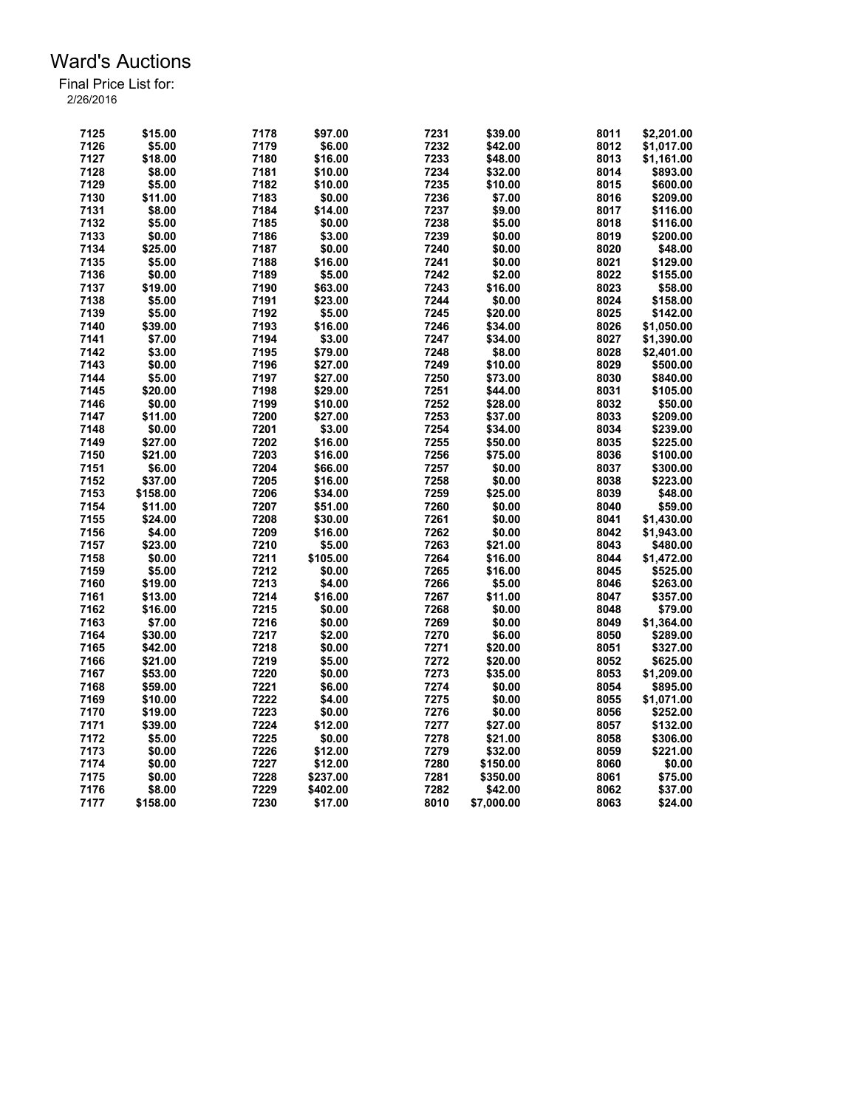| 7125 | \$15.00  | 7178 | \$97.00  | 7231         | \$39.00    | 8011 | \$2,201.00 |
|------|----------|------|----------|--------------|------------|------|------------|
| 7126 | \$5.00   | 7179 | \$6.00   | 7232         | \$42.00    | 8012 | \$1,017.00 |
| 7127 | \$18.00  | 7180 | \$16.00  | 7233         | \$48.00    | 8013 | \$1,161.00 |
| 7128 | \$8.00   | 7181 | \$10.00  | 7234         | \$32.00    | 8014 | \$893.00   |
| 7129 | \$5.00   | 7182 | \$10.00  | 7235         | \$10.00    | 8015 | \$600.00   |
| 7130 | \$11.00  | 7183 | \$0.00   | 7236         | \$7.00     | 8016 | \$209.00   |
| 7131 | \$8.00   | 7184 | \$14.00  | 7237         | \$9.00     | 8017 | \$116.00   |
| 7132 | \$5.00   | 7185 | \$0.00   | 7238         | \$5.00     | 8018 | \$116.00   |
| 7133 | \$0.00   | 7186 | \$3.00   | 7239         | \$0.00     | 8019 | \$200.00   |
| 7134 | \$25.00  | 7187 | \$0.00   | 7240         | \$0.00     | 8020 | \$48.00    |
| 7135 | \$5.00   | 7188 | \$16.00  | 7241         | \$0.00     | 8021 | \$129.00   |
| 7136 | \$0.00   | 7189 | \$5.00   | 7242         | \$2.00     | 8022 | \$155.00   |
| 7137 | \$19.00  | 7190 | \$63.00  | 7243         | \$16.00    | 8023 | \$58.00    |
| 7138 | \$5.00   | 7191 | \$23.00  | 7244         | \$0.00     | 8024 | \$158.00   |
| 7139 | \$5.00   | 7192 | \$5.00   | 7245         | \$20.00    | 8025 | \$142.00   |
| 7140 | \$39.00  | 7193 | \$16.00  | 7246         | \$34.00    | 8026 | \$1,050.00 |
| 7141 | \$7.00   | 7194 | \$3.00   | 7247         | \$34.00    | 8027 | \$1,390.00 |
| 7142 | \$3.00   | 7195 | \$79.00  | 7248         | \$8.00     | 8028 | \$2,401.00 |
| 7143 | \$0.00   | 7196 | \$27.00  | 7249         |            | 8029 | \$500.00   |
|      |          |      |          |              | \$10.00    |      |            |
| 7144 | \$5.00   | 7197 | \$27.00  | 7250         | \$73.00    | 8030 | \$840.00   |
| 7145 | \$20.00  | 7198 | \$29.00  | 7251         | \$44.00    | 8031 | \$105.00   |
| 7146 | \$0.00   | 7199 | \$10.00  | 7252         | \$28.00    | 8032 | \$50.00    |
| 7147 | \$11.00  | 7200 | \$27.00  | 7253         | \$37.00    | 8033 | \$209.00   |
| 7148 | \$0.00   | 7201 | \$3.00   | 7254         | \$34.00    | 8034 | \$239.00   |
| 7149 | \$27.00  | 7202 | \$16.00  | 7255         | \$50.00    | 8035 | \$225.00   |
| 7150 | \$21.00  | 7203 | \$16.00  | 7256         | \$75.00    | 8036 | \$100.00   |
| 7151 | \$6.00   | 7204 | \$66.00  | 7257         | \$0.00     | 8037 | \$300.00   |
| 7152 | \$37.00  | 7205 | \$16.00  | 7258         | \$0.00     | 8038 | \$223.00   |
| 7153 | \$158.00 | 7206 | \$34.00  | 7259         | \$25.00    | 8039 | \$48.00    |
| 7154 | \$11.00  | 7207 | \$51.00  | 7260         | \$0.00     | 8040 | \$59.00    |
| 7155 | \$24.00  | 7208 | \$30.00  | 7261         | \$0.00     | 8041 | \$1,430.00 |
| 7156 | \$4.00   | 7209 | \$16.00  | 7262         | \$0.00     | 8042 | \$1,943.00 |
| 7157 | \$23.00  | 7210 | \$5.00   | 7263         | \$21.00    | 8043 | \$480.00   |
| 7158 | \$0.00   | 7211 | \$105.00 | 7264         | \$16.00    | 8044 | \$1,472.00 |
| 7159 | \$5.00   | 7212 | \$0.00   | 7265         | \$16.00    | 8045 | \$525.00   |
| 7160 | \$19.00  | 7213 | \$4.00   | 7266         | \$5.00     | 8046 | \$263.00   |
| 7161 | \$13.00  | 7214 | \$16.00  | 7267         | \$11.00    | 8047 | \$357.00   |
| 7162 | \$16.00  | 7215 | \$0.00   | 7268         | \$0.00     | 8048 | \$79.00    |
| 7163 | \$7.00   | 7216 | \$0.00   | 7269         | \$0.00     | 8049 | \$1,364.00 |
| 7164 | \$30.00  | 7217 | \$2.00   | 7270         | \$6.00     | 8050 | \$289.00   |
| 7165 | \$42.00  | 7218 | \$0.00   | 7271         | \$20.00    | 8051 | \$327.00   |
| 7166 | \$21.00  | 7219 | \$5.00   | 7272         | \$20.00    | 8052 | \$625.00   |
| 7167 | \$53.00  | 7220 | \$0.00   | 7273         | \$35.00    | 8053 | \$1,209.00 |
| 7168 | \$59.00  | 7221 | \$6.00   | 7274         | \$0.00     | 8054 | \$895.00   |
| 7169 | \$10.00  | 7222 | \$4.00   | 7275         | \$0.00     | 8055 | \$1,071.00 |
| 7170 | \$19.00  | 7223 | \$0.00   | 7276         | \$0.00     | 8056 | \$252.00   |
| 7171 | \$39.00  | 7224 | \$12.00  | 7277         | \$27.00    | 8057 | \$132.00   |
| 7172 | \$5.00   | 7225 | \$0.00   | 7278         | \$21.00    | 8058 | \$306.00   |
| 7173 | \$0.00   | 7226 | \$12.00  | 7279         | \$32.00    | 8059 | \$221.00   |
| 7174 | \$0.00   | 7227 | \$12.00  | 7280         | \$150.00   | 8060 | \$0.00     |
|      |          | 7228 |          |              |            |      |            |
| 7175 | \$0.00   | 7229 | \$237.00 | 7281<br>7282 | \$350.00   | 8061 | \$75.00    |
| 7176 | \$8.00   |      | \$402.00 |              | \$42.00    | 8062 | \$37.00    |
| 7177 | \$158.00 | 7230 | \$17.00  | 8010         | \$7,000.00 | 8063 | \$24.00    |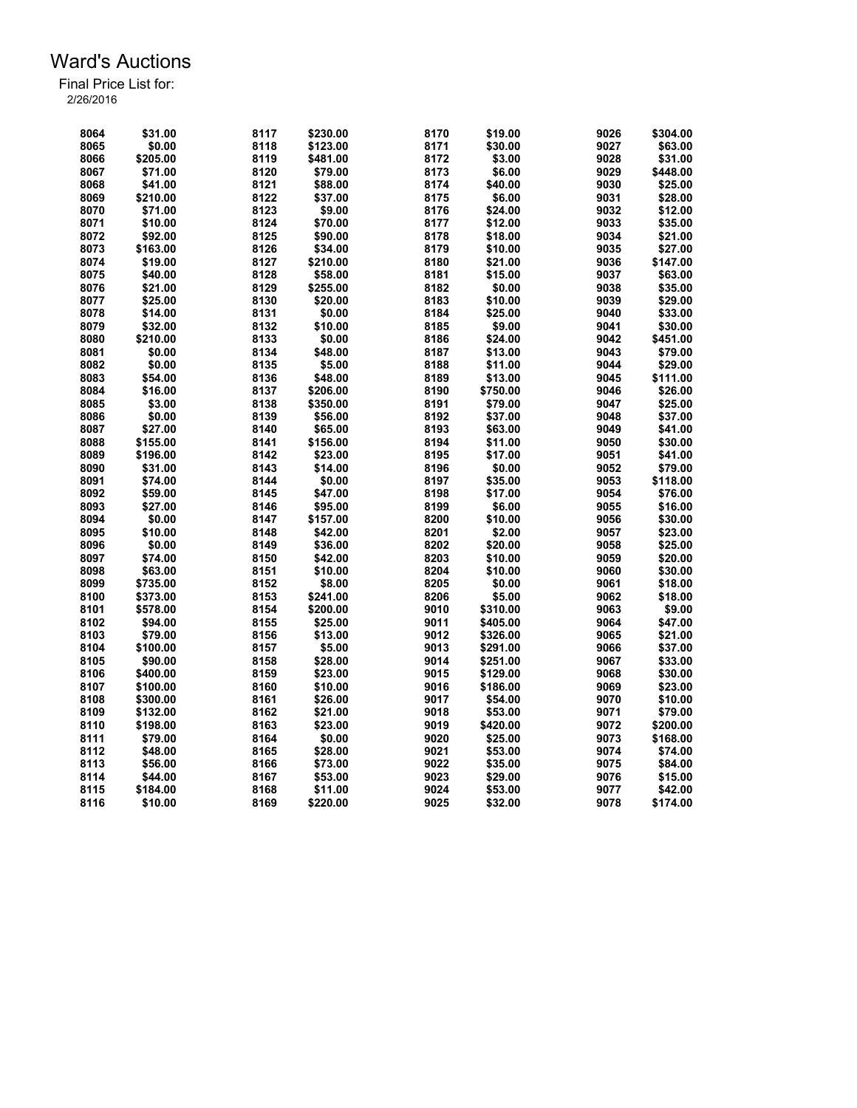| 8064 | \$31.00           | 8117         | \$230.00            | 8170 | \$19.00           | 9026         | \$304.00           |
|------|-------------------|--------------|---------------------|------|-------------------|--------------|--------------------|
| 8065 | \$0.00            | 8118         | \$123.00            | 8171 | \$30.00           | 9027         | \$63.00            |
| 8066 | \$205.00          | 8119         | \$481.00            | 8172 | \$3.00            | 9028         | \$31.00            |
| 8067 | \$71.00           | 8120         | \$79.00             | 8173 | \$6.00            | 9029         | \$448.00           |
| 8068 | \$41.00           | 8121         | \$88.00             | 8174 | \$40.00           | 9030         | \$25.00            |
| 8069 | \$210.00          | 8122         | \$37.00             | 8175 | \$6.00            | 9031         | \$28.00            |
| 8070 | \$71.00           | 8123         | \$9.00              | 8176 | \$24.00           | 9032         | \$12.00            |
| 8071 | \$10.00           | 8124         | \$70.00             | 8177 | \$12.00           | 9033         | \$35.00            |
| 8072 | \$92.00           | 8125         | \$90.00             | 8178 | \$18.00           | 9034         | \$21.00            |
| 8073 | \$163.00          | 8126         | \$34.00             | 8179 | \$10.00           | 9035         | \$27.00            |
| 8074 | \$19.00           | 8127         | \$210.00            | 8180 | \$21.00           | 9036         | \$147.00           |
| 8075 | \$40.00           | 8128         | \$58.00             | 8181 | \$15.00           | 9037         | \$63.00            |
| 8076 | \$21.00           | 8129         | \$255.00            | 8182 | \$0.00            | 9038         | \$35.00            |
| 8077 | \$25.00           | 8130         | \$20.00             | 8183 | \$10.00           | 9039         | \$29.00            |
| 8078 | \$14.00           | 8131         | \$0.00              | 8184 | \$25.00           | 9040         | \$33.00            |
| 8079 | \$32.00           | 8132         | \$10.00             | 8185 | \$9.00            | 9041         | \$30.00            |
| 8080 | \$210.00          | 8133         | \$0.00              | 8186 | \$24.00           | 9042         | \$451.00           |
| 8081 | \$0.00            | 8134         | \$48.00             | 8187 | \$13.00           | 9043         | \$79.00            |
| 8082 | \$0.00            | 8135         | \$5.00              | 8188 | \$11.00           | 9044         | \$29.00            |
| 8083 | \$54.00           | 8136         | \$48.00             | 8189 | \$13.00           | 9045         | \$111.00           |
| 8084 | \$16.00           | 8137         | \$206.00            | 8190 | \$750.00          | 9046         | \$26.00            |
| 8085 | \$3.00            | 8138         | \$350.00            | 8191 | \$79.00           | 9047         | \$25.00            |
| 8086 | \$0.00            | 8139         | \$56.00             | 8192 | \$37.00           | 9048         | \$37.00            |
| 8087 | \$27.00           | 8140         | \$65.00             | 8193 | \$63.00           | 9049         | \$41.00            |
| 8088 | \$155.00          | 8141         | \$156.00            | 8194 | \$11.00           | 9050         | \$30.00            |
| 8089 | \$196.00          | 8142         | \$23.00             | 8195 | \$17.00           | 9051         | \$41.00            |
| 8090 | \$31.00           | 8143         | \$14.00             | 8196 | \$0.00            | 9052         | \$79.00            |
| 8091 | \$74.00           | 8144         | \$0.00              | 8197 | \$35.00           | 9053         | \$118.00           |
| 8092 |                   |              |                     | 8198 |                   |              |                    |
| 8093 | \$59.00           | 8145         | \$47.00             | 8199 | \$17.00<br>\$6.00 | 9054<br>9055 | \$76.00            |
| 8094 | \$27.00<br>\$0.00 | 8146<br>8147 | \$95.00<br>\$157.00 | 8200 | \$10.00           | 9056         | \$16.00            |
| 8095 | \$10.00           | 8148         | \$42.00             | 8201 |                   | 9057         | \$30.00<br>\$23.00 |
|      |                   |              |                     |      | \$2.00            |              |                    |
| 8096 | \$0.00            | 8149         | \$36.00             | 8202 | \$20.00           | 9058         | \$25.00            |
| 8097 | \$74.00           | 8150         | \$42.00             | 8203 | \$10.00           | 9059         | \$20.00            |
| 8098 | \$63.00           | 8151         | \$10.00             | 8204 | \$10.00           | 9060         | \$30.00            |
| 8099 | \$735.00          | 8152         | \$8.00              | 8205 | \$0.00            | 9061         | \$18.00            |
| 8100 | \$373.00          | 8153         | \$241.00            | 8206 | \$5.00            | 9062         | \$18.00            |
| 8101 | \$578.00          | 8154         | \$200.00            | 9010 | \$310.00          | 9063         | \$9.00             |
| 8102 | \$94.00           | 8155         | \$25.00             | 9011 | \$405.00          | 9064         | \$47.00            |
| 8103 | \$79.00           | 8156         | \$13.00             | 9012 | \$326.00          | 9065         | \$21.00            |
| 8104 | \$100.00          | 8157         | \$5.00              | 9013 | \$291.00          | 9066         | \$37.00            |
| 8105 | \$90.00           | 8158         | \$28.00             | 9014 | \$251.00          | 9067         | \$33.00            |
| 8106 | \$400.00          | 8159         | \$23.00             | 9015 | \$129.00          | 9068         | \$30.00            |
| 8107 | \$100.00          | 8160         | \$10.00             | 9016 | \$186.00          | 9069         | \$23.00            |
| 8108 | \$300.00          | 8161         | \$26.00             | 9017 | \$54.00           | 9070         | \$10.00            |
| 8109 | \$132.00          | 8162         | \$21.00             | 9018 | \$53.00           | 9071         | \$79.00            |
| 8110 | \$198.00          | 8163         | \$23.00             | 9019 | \$420.00          | 9072         | \$200.00           |
| 8111 | \$79.00           | 8164         | \$0.00              | 9020 | \$25.00           | 9073         | \$168.00           |
| 8112 | \$48.00           | 8165         | \$28.00             | 9021 | \$53.00           | 9074         | \$74.00            |
| 8113 | \$56.00           | 8166         | \$73.00             | 9022 | \$35.00           | 9075         | \$84.00            |
| 8114 | \$44.00           | 8167         | \$53.00             | 9023 | \$29.00           | 9076         | \$15.00            |
| 8115 | \$184.00          | 8168         | \$11.00             | 9024 | \$53.00           | 9077         | \$42.00            |
| 8116 | \$10.00           | 8169         | \$220.00            | 9025 | \$32.00           | 9078         | \$174.00           |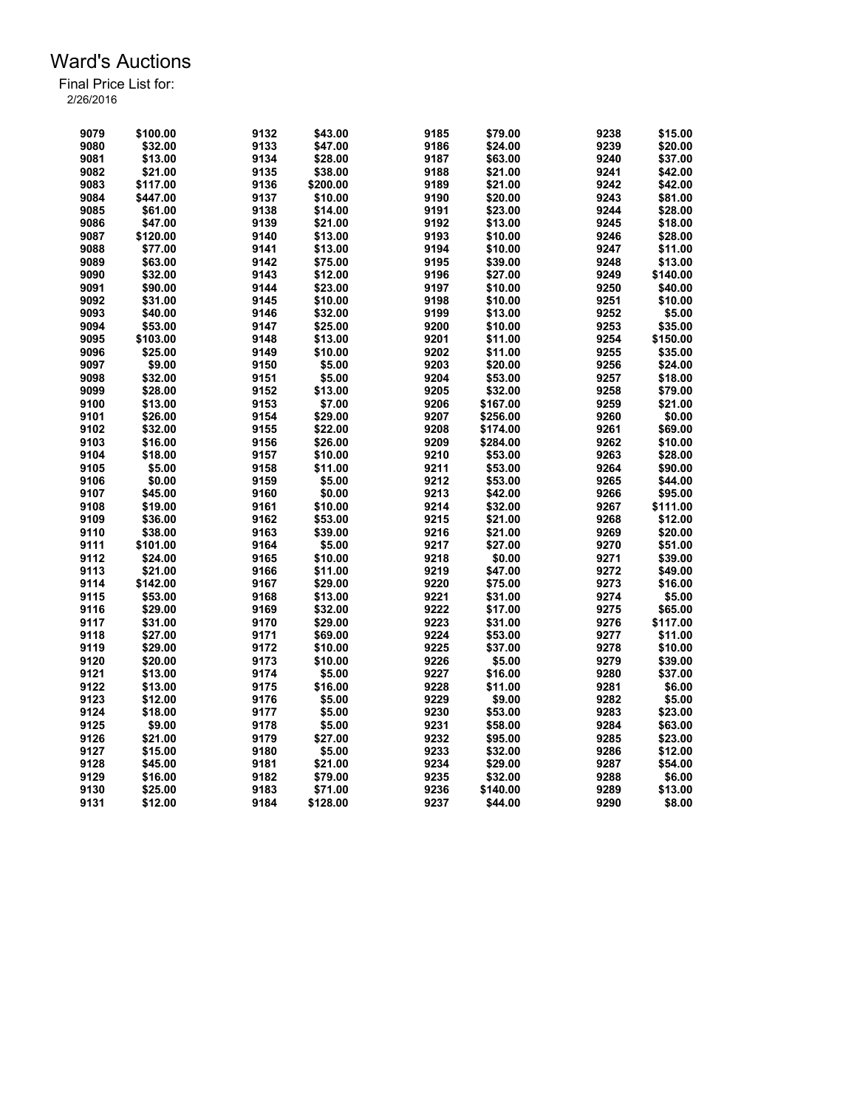| 9079 | \$100.00 | 9132 | \$43.00  | 9185 | \$79.00  | 9238 | \$15.00  |
|------|----------|------|----------|------|----------|------|----------|
| 9080 | \$32.00  | 9133 | \$47.00  | 9186 | \$24.00  | 9239 | \$20.00  |
| 9081 | \$13.00  | 9134 | \$28.00  | 9187 | \$63.00  | 9240 | \$37.00  |
| 9082 | \$21.00  | 9135 | \$38.00  | 9188 | \$21.00  | 9241 | \$42.00  |
| 9083 | \$117.00 | 9136 | \$200.00 | 9189 | \$21.00  | 9242 | \$42.00  |
| 9084 | \$447.00 | 9137 | \$10.00  | 9190 | \$20.00  | 9243 | \$81.00  |
| 9085 | \$61.00  | 9138 | \$14.00  | 9191 | \$23.00  | 9244 | \$28.00  |
| 9086 | \$47.00  | 9139 | \$21.00  | 9192 | \$13.00  | 9245 | \$18.00  |
| 9087 | \$120.00 | 9140 | \$13.00  | 9193 | \$10.00  | 9246 | \$28.00  |
| 9088 | \$77.00  | 9141 | \$13.00  | 9194 | \$10.00  | 9247 | \$11.00  |
| 9089 | \$63.00  | 9142 | \$75.00  | 9195 | \$39.00  | 9248 | \$13.00  |
| 9090 | \$32.00  | 9143 | \$12.00  | 9196 | \$27.00  | 9249 | \$140.00 |
| 9091 | \$90.00  | 9144 | \$23.00  | 9197 | \$10.00  | 9250 | \$40.00  |
| 9092 | \$31.00  | 9145 | \$10.00  | 9198 | \$10.00  | 9251 | \$10.00  |
| 9093 | \$40.00  | 9146 | \$32.00  | 9199 | \$13.00  | 9252 | \$5.00   |
| 9094 | \$53.00  | 9147 | \$25.00  | 9200 | \$10.00  | 9253 | \$35.00  |
| 9095 | \$103.00 | 9148 | \$13.00  | 9201 | \$11.00  | 9254 | \$150.00 |
| 9096 | \$25.00  | 9149 | \$10.00  | 9202 | \$11.00  | 9255 | \$35.00  |
|      |          |      |          |      |          |      |          |
| 9097 | \$9.00   | 9150 | \$5.00   | 9203 | \$20.00  | 9256 | \$24.00  |
| 9098 | \$32.00  | 9151 | \$5.00   | 9204 | \$53.00  | 9257 | \$18.00  |
| 9099 | \$28.00  | 9152 | \$13.00  | 9205 | \$32.00  | 9258 | \$79.00  |
| 9100 | \$13.00  | 9153 | \$7.00   | 9206 | \$167.00 | 9259 | \$21.00  |
| 9101 | \$26.00  | 9154 | \$29.00  | 9207 | \$256.00 | 9260 | \$0.00   |
| 9102 | \$32.00  | 9155 | \$22.00  | 9208 | \$174.00 | 9261 | \$69.00  |
| 9103 | \$16.00  | 9156 | \$26.00  | 9209 | \$284.00 | 9262 | \$10.00  |
| 9104 | \$18.00  | 9157 | \$10.00  | 9210 | \$53.00  | 9263 | \$28.00  |
| 9105 | \$5.00   | 9158 | \$11.00  | 9211 | \$53.00  | 9264 | \$90.00  |
| 9106 | \$0.00   | 9159 | \$5.00   | 9212 | \$53.00  | 9265 | \$44.00  |
| 9107 | \$45.00  | 9160 | \$0.00   | 9213 | \$42.00  | 9266 | \$95.00  |
| 9108 | \$19.00  | 9161 | \$10.00  | 9214 | \$32.00  | 9267 | \$111.00 |
| 9109 | \$36.00  | 9162 | \$53.00  | 9215 | \$21.00  | 9268 | \$12.00  |
| 9110 | \$38.00  | 9163 | \$39.00  | 9216 | \$21.00  | 9269 | \$20.00  |
| 9111 | \$101.00 | 9164 | \$5.00   | 9217 | \$27.00  | 9270 | \$51.00  |
| 9112 | \$24.00  | 9165 | \$10.00  | 9218 | \$0.00   | 9271 | \$39.00  |
| 9113 | \$21.00  | 9166 | \$11.00  | 9219 | \$47.00  | 9272 | \$49.00  |
| 9114 | \$142.00 | 9167 | \$29.00  | 9220 | \$75.00  | 9273 | \$16.00  |
| 9115 | \$53.00  | 9168 | \$13.00  | 9221 | \$31.00  | 9274 | \$5.00   |
| 9116 | \$29.00  | 9169 | \$32.00  | 9222 | \$17.00  | 9275 | \$65.00  |
| 9117 | \$31.00  | 9170 | \$29.00  | 9223 | \$31.00  | 9276 | \$117.00 |
| 9118 | \$27.00  | 9171 | \$69.00  | 9224 | \$53.00  | 9277 | \$11.00  |
| 9119 | \$29.00  | 9172 | \$10.00  | 9225 | \$37.00  | 9278 | \$10.00  |
| 9120 | \$20.00  | 9173 | \$10.00  | 9226 | \$5.00   | 9279 | \$39.00  |
| 9121 | \$13.00  | 9174 | \$5.00   | 9227 | \$16.00  | 9280 | \$37.00  |
| 9122 | \$13.00  | 9175 | \$16.00  | 9228 | \$11.00  | 9281 | \$6.00   |
| 9123 | \$12.00  | 9176 | \$5.00   | 9229 | \$9.00   | 9282 | \$5.00   |
| 9124 | \$18.00  | 9177 | \$5.00   | 9230 | \$53.00  | 9283 | \$23.00  |
| 9125 | \$9.00   | 9178 | \$5.00   | 9231 | \$58.00  | 9284 | \$63.00  |
| 9126 | \$21.00  | 9179 | \$27.00  | 9232 | \$95.00  | 9285 | \$23.00  |
| 9127 | \$15.00  | 9180 | \$5.00   | 9233 | \$32.00  | 9286 | \$12.00  |
| 9128 | \$45.00  | 9181 | \$21.00  | 9234 | \$29.00  | 9287 | \$54.00  |
| 9129 | \$16.00  | 9182 | \$79.00  | 9235 | \$32.00  | 9288 | \$6.00   |
| 9130 | \$25.00  | 9183 | \$71.00  | 9236 | \$140.00 | 9289 | \$13.00  |
| 9131 | \$12.00  | 9184 | \$128.00 | 9237 | \$44.00  | 9290 | \$8.00   |
|      |          |      |          |      |          |      |          |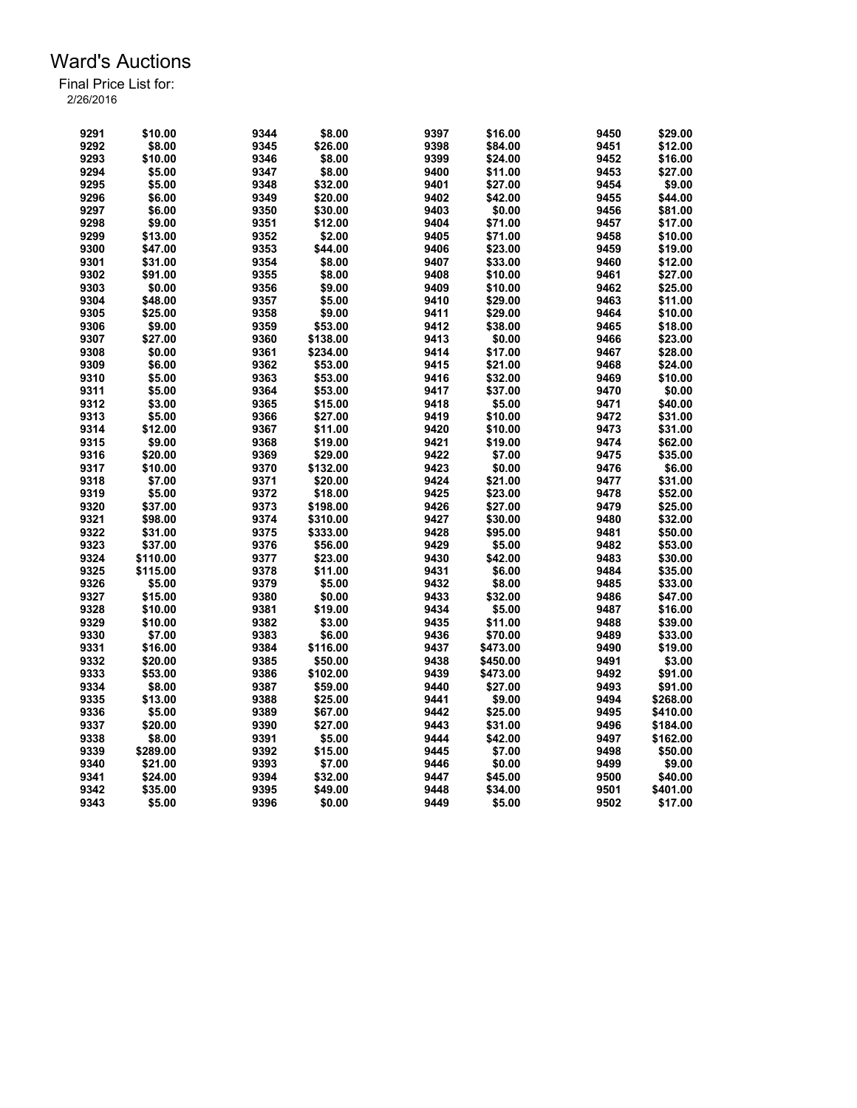| 9291 | \$10.00  | 9344 | \$8.00   | 9397 | \$16.00  | 9450 | \$29.00  |
|------|----------|------|----------|------|----------|------|----------|
| 9292 | \$8.00   | 9345 | \$26.00  | 9398 | \$84.00  | 9451 | \$12.00  |
| 9293 | \$10.00  | 9346 | \$8.00   | 9399 | \$24.00  | 9452 | \$16.00  |
| 9294 | \$5.00   | 9347 | \$8.00   | 9400 | \$11.00  | 9453 | \$27.00  |
| 9295 | \$5.00   | 9348 | \$32.00  | 9401 | \$27.00  | 9454 | \$9.00   |
| 9296 | \$6.00   | 9349 | \$20.00  | 9402 | \$42.00  | 9455 | \$44.00  |
| 9297 | \$6.00   | 9350 | \$30.00  | 9403 | \$0.00   | 9456 | \$81.00  |
| 9298 | \$9.00   | 9351 | \$12.00  | 9404 | \$71.00  | 9457 | \$17.00  |
| 9299 | \$13.00  | 9352 | \$2.00   | 9405 | \$71.00  | 9458 | \$10.00  |
| 9300 | \$47.00  | 9353 | \$44.00  | 9406 | \$23.00  | 9459 | \$19.00  |
| 9301 | \$31.00  | 9354 | \$8.00   | 9407 | \$33.00  | 9460 | \$12.00  |
| 9302 | \$91.00  | 9355 | \$8.00   | 9408 | \$10.00  | 9461 | \$27.00  |
| 9303 | \$0.00   | 9356 | \$9.00   | 9409 | \$10.00  | 9462 | \$25.00  |
| 9304 | \$48.00  | 9357 | \$5.00   | 9410 | \$29.00  | 9463 | \$11.00  |
| 9305 | \$25.00  | 9358 | \$9.00   | 9411 | \$29.00  | 9464 | \$10.00  |
| 9306 | \$9.00   | 9359 | \$53.00  | 9412 | \$38.00  | 9465 | \$18.00  |
| 9307 | \$27.00  | 9360 | \$138.00 | 9413 | \$0.00   | 9466 | \$23.00  |
| 9308 | \$0.00   | 9361 | \$234.00 | 9414 | \$17.00  | 9467 | \$28.00  |
|      |          |      |          |      |          |      |          |
| 9309 | \$6.00   | 9362 | \$53.00  | 9415 | \$21.00  | 9468 | \$24.00  |
| 9310 | \$5.00   | 9363 | \$53.00  | 9416 | \$32.00  | 9469 | \$10.00  |
| 9311 | \$5.00   | 9364 | \$53.00  | 9417 | \$37.00  | 9470 | \$0.00   |
| 9312 | \$3.00   | 9365 | \$15.00  | 9418 | \$5.00   | 9471 | \$40.00  |
| 9313 | \$5.00   | 9366 | \$27.00  | 9419 | \$10.00  | 9472 | \$31.00  |
| 9314 | \$12.00  | 9367 | \$11.00  | 9420 | \$10.00  | 9473 | \$31.00  |
| 9315 | \$9.00   | 9368 | \$19.00  | 9421 | \$19.00  | 9474 | \$62.00  |
| 9316 | \$20.00  | 9369 | \$29.00  | 9422 | \$7.00   | 9475 | \$35.00  |
| 9317 | \$10.00  | 9370 | \$132.00 | 9423 | \$0.00   | 9476 | \$6.00   |
| 9318 | \$7.00   | 9371 | \$20.00  | 9424 | \$21.00  | 9477 | \$31.00  |
| 9319 | \$5.00   | 9372 | \$18.00  | 9425 | \$23.00  | 9478 | \$52.00  |
| 9320 | \$37.00  | 9373 | \$198.00 | 9426 | \$27.00  | 9479 | \$25.00  |
| 9321 | \$98.00  | 9374 | \$310.00 | 9427 | \$30.00  | 9480 | \$32.00  |
| 9322 | \$31.00  | 9375 | \$333.00 | 9428 | \$95.00  | 9481 | \$50.00  |
| 9323 | \$37.00  | 9376 | \$56.00  | 9429 | \$5.00   | 9482 | \$53.00  |
| 9324 | \$110.00 | 9377 | \$23.00  | 9430 | \$42.00  | 9483 | \$30.00  |
| 9325 | \$115.00 | 9378 | \$11.00  | 9431 | \$6.00   | 9484 | \$35.00  |
| 9326 | \$5.00   | 9379 | \$5.00   | 9432 | \$8.00   | 9485 | \$33.00  |
| 9327 | \$15.00  | 9380 | \$0.00   | 9433 | \$32.00  | 9486 | \$47.00  |
| 9328 | \$10.00  | 9381 | \$19.00  | 9434 | \$5.00   | 9487 | \$16.00  |
| 9329 | \$10.00  | 9382 | \$3.00   | 9435 | \$11.00  | 9488 | \$39.00  |
| 9330 | \$7.00   | 9383 | \$6.00   | 9436 | \$70.00  | 9489 | \$33.00  |
| 9331 | \$16.00  | 9384 | \$116.00 | 9437 | \$473.00 | 9490 | \$19.00  |
| 9332 | \$20.00  | 9385 | \$50.00  | 9438 | \$450.00 | 9491 | \$3.00   |
| 9333 | \$53.00  | 9386 | \$102.00 | 9439 | \$473.00 | 9492 | \$91.00  |
| 9334 | \$8.00   | 9387 | \$59.00  | 9440 | \$27.00  | 9493 | \$91.00  |
| 9335 | \$13.00  | 9388 | \$25.00  | 9441 | \$9.00   | 9494 | \$268.00 |
| 9336 | \$5.00   | 9389 | \$67.00  | 9442 | \$25.00  | 9495 | \$410.00 |
| 9337 | \$20.00  | 9390 | \$27.00  | 9443 | \$31.00  | 9496 | \$184.00 |
| 9338 | \$8.00   | 9391 | \$5.00   | 9444 | \$42.00  | 9497 | \$162.00 |
| 9339 | \$289.00 | 9392 | \$15.00  | 9445 | \$7.00   | 9498 | \$50.00  |
| 9340 | \$21.00  | 9393 | \$7.00   | 9446 | \$0.00   | 9499 | \$9.00   |
| 9341 | \$24.00  | 9394 | \$32.00  | 9447 | \$45.00  | 9500 | \$40.00  |
| 9342 | \$35.00  | 9395 | \$49.00  | 9448 | \$34.00  | 9501 | \$401.00 |
| 9343 | \$5.00   | 9396 | \$0.00   | 9449 | \$5.00   | 9502 | \$17.00  |
|      |          |      |          |      |          |      |          |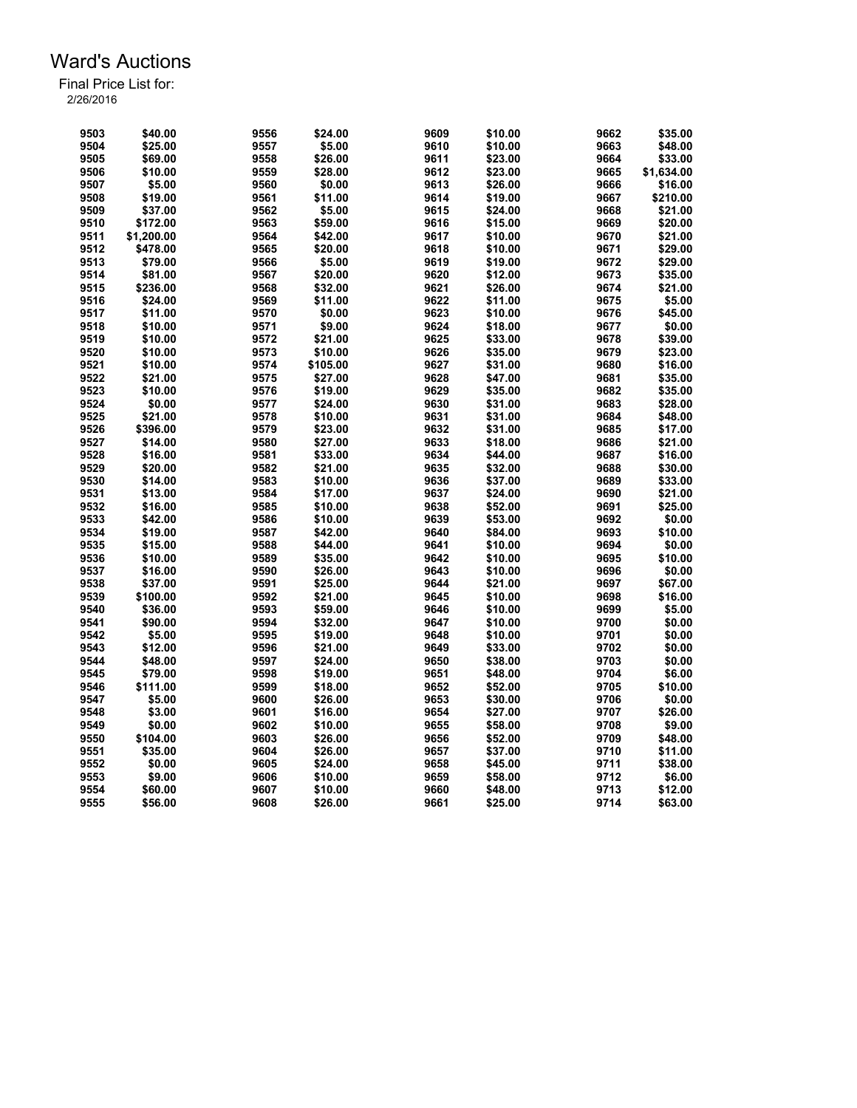| 9503         | \$40.00    | 9556 | \$24.00            | 9609         | \$10.00            | 9662         | \$35.00    |
|--------------|------------|------|--------------------|--------------|--------------------|--------------|------------|
| 9504         | \$25.00    | 9557 | \$5.00             | 9610         | \$10.00            | 9663         | \$48.00    |
| 9505         | \$69.00    | 9558 | \$26.00            | 9611         | \$23.00            | 9664         | \$33.00    |
| 9506         | \$10.00    | 9559 | \$28.00            | 9612         | \$23.00            | 9665         | \$1,634.00 |
| 9507         | \$5.00     | 9560 | \$0.00             | 9613         | \$26.00            | 9666         | \$16.00    |
| 9508         | \$19.00    | 9561 | \$11.00            | 9614         | \$19.00            | 9667         | \$210.00   |
| 9509         | \$37.00    | 9562 | \$5.00             | 9615         | \$24.00            | 9668         | \$21.00    |
| 9510         | \$172.00   | 9563 | \$59.00            | 9616         | \$15.00            | 9669         | \$20.00    |
| 9511         | \$1,200.00 | 9564 | \$42.00            | 9617         | \$10.00            | 9670         | \$21.00    |
| 9512         | \$478.00   | 9565 | \$20.00            | 9618         | \$10.00            | 9671         | \$29.00    |
| 9513         | \$79.00    | 9566 | \$5.00             | 9619         | \$19.00            | 9672         | \$29.00    |
| 9514         | \$81.00    | 9567 | \$20.00            | 9620         | \$12.00            | 9673         | \$35.00    |
| 9515         | \$236.00   | 9568 | \$32.00            | 9621         | \$26.00            | 9674         | \$21.00    |
| 9516         | \$24.00    | 9569 | \$11.00            | 9622         | \$11.00            | 9675         | \$5.00     |
| 9517         | \$11.00    | 9570 | \$0.00             | 9623         | \$10.00            | 9676         | \$45.00    |
| 9518         | \$10.00    | 9571 | \$9.00             | 9624         | \$18.00            | 9677         | \$0.00     |
| 9519         | \$10.00    | 9572 | \$21.00            | 9625         | \$33.00            | 9678         | \$39.00    |
| 9520         | \$10.00    | 9573 | \$10.00            | 9626         | \$35.00            | 9679         | \$23.00    |
| 9521         | \$10.00    | 9574 | \$105.00           | 9627         | \$31.00            | 9680         | \$16.00    |
| 9522         | \$21.00    | 9575 | \$27.00            | 9628         | \$47.00            | 9681         | \$35.00    |
| 9523         | \$10.00    | 9576 | \$19.00            | 9629         | \$35.00            | 9682         | \$35.00    |
| 9524         | \$0.00     | 9577 | \$24.00            | 9630         | \$31.00            | 9683         | \$28.00    |
| 9525         | \$21.00    | 9578 | \$10.00            | 9631         | \$31.00            | 9684         | \$48.00    |
| 9526         | \$396.00   | 9579 | \$23.00            | 9632         | \$31.00            | 9685         | \$17.00    |
| 9527         | \$14.00    | 9580 | \$27.00            | 9633         | \$18.00            | 9686         | \$21.00    |
| 9528         | \$16.00    | 9581 | \$33.00            | 9634         | \$44.00            | 9687         | \$16.00    |
| 9529         | \$20.00    | 9582 | \$21.00            | 9635         | \$32.00            | 9688         | \$30.00    |
| 9530         | \$14.00    | 9583 | \$10.00            | 9636         | \$37.00            | 9689         | \$33.00    |
| 9531         | \$13.00    | 9584 |                    | 9637         |                    | 9690         | \$21.00    |
| 9532         | \$16.00    | 9585 | \$17.00<br>\$10.00 | 9638         | \$24.00<br>\$52.00 | 9691         | \$25.00    |
|              |            |      |                    |              |                    |              |            |
| 9533<br>9534 | \$42.00    | 9586 | \$10.00            | 9639<br>9640 | \$53.00            | 9692<br>9693 | \$0.00     |
|              | \$19.00    | 9587 | \$42.00            |              | \$84.00            |              | \$10.00    |
| 9535         | \$15.00    | 9588 | \$44.00            | 9641         | \$10.00            | 9694         | \$0.00     |
| 9536         | \$10.00    | 9589 | \$35.00            | 9642         | \$10.00            | 9695         | \$10.00    |
| 9537         | \$16.00    | 9590 | \$26.00            | 9643         | \$10.00            | 9696         | \$0.00     |
| 9538         | \$37.00    | 9591 | \$25.00            | 9644         | \$21.00            | 9697         | \$67.00    |
| 9539         | \$100.00   | 9592 | \$21.00            | 9645         | \$10.00            | 9698         | \$16.00    |
| 9540         | \$36.00    | 9593 | \$59.00            | 9646         | \$10.00            | 9699         | \$5.00     |
| 9541         | \$90.00    | 9594 | \$32.00            | 9647         | \$10.00            | 9700         | \$0.00     |
| 9542         | \$5.00     | 9595 | \$19.00            | 9648         | \$10.00            | 9701         | \$0.00     |
| 9543         | \$12.00    | 9596 | \$21.00            | 9649         | \$33.00            | 9702         | \$0.00     |
| 9544         | \$48.00    | 9597 | \$24.00            | 9650         | \$38.00            | 9703         | \$0.00     |
| 9545         | \$79.00    | 9598 | \$19.00            | 9651         | \$48.00            | 9704         | \$6.00     |
| 9546         | \$111.00   | 9599 | \$18.00            | 9652         | \$52.00            | 9705         | \$10.00    |
| 9547         | \$5.00     | 9600 | \$26.00            | 9653         | \$30.00            | 9706         | \$0.00     |
| 9548         | \$3.00     | 9601 | \$16.00            | 9654         | \$27.00            | 9707         | \$26.00    |
| 9549         | \$0.00     | 9602 | \$10.00            | 9655         | \$58.00            | 9708         | \$9.00     |
| 9550         | \$104.00   | 9603 | \$26.00            | 9656         | \$52.00            | 9709         | \$48.00    |
| 9551         | \$35.00    | 9604 | \$26.00            | 9657         | \$37.00            | 9710         | \$11.00    |
| 9552         | \$0.00     | 9605 | \$24.00            | 9658         | \$45.00            | 9711         | \$38.00    |
| 9553         | \$9.00     | 9606 | \$10.00            | 9659         | \$58.00            | 9712         | \$6.00     |
| 9554         | \$60.00    | 9607 | \$10.00            | 9660         | \$48.00            | 9713         | \$12.00    |
| 9555         | \$56.00    | 9608 | \$26.00            | 9661         | \$25.00            | 9714         | \$63.00    |